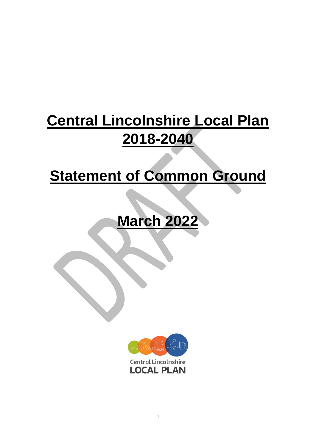# **Central Lincolnshire Local Plan 2018-2040**

# **Statement of Common Ground**

# **March 2022**

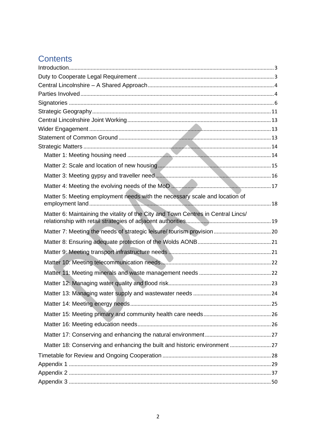# **Contents**

| Matter 5: Meeting employment needs with the necessary scale and location of       |  |
|-----------------------------------------------------------------------------------|--|
| Matter 6: Maintaining the vitality of the City and Town Centres in Central Lincs/ |  |
|                                                                                   |  |
|                                                                                   |  |
|                                                                                   |  |
|                                                                                   |  |
|                                                                                   |  |
|                                                                                   |  |
|                                                                                   |  |
|                                                                                   |  |
|                                                                                   |  |
|                                                                                   |  |
|                                                                                   |  |
|                                                                                   |  |
|                                                                                   |  |
|                                                                                   |  |
|                                                                                   |  |
|                                                                                   |  |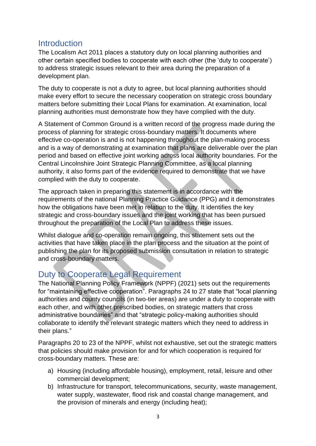### <span id="page-2-0"></span>**Introduction**

The Localism Act 2011 places a statutory duty on local planning authorities and other certain specified bodies to cooperate with each other (the 'duty to cooperate') to address strategic issues relevant to their area during the preparation of a development plan.

The duty to cooperate is not a duty to agree, but local planning authorities should make every effort to secure the necessary cooperation on strategic cross boundary matters before submitting their Local Plans for examination. At examination, local planning authorities must demonstrate how they have complied with the duty.

A Statement of Common Ground is a written record of the progress made during the process of planning for strategic cross-boundary matters. It documents where effective co-operation is and is not happening throughout the plan-making process and is a way of demonstrating at examination that plans are deliverable over the plan period and based on effective joint working across local authority boundaries. For the Central Lincolnshire Joint Strategic Planning Committee, as a local planning authority, it also forms part of the evidence required to demonstrate that we have complied with the duty to cooperate.

The approach taken in preparing this statement is in accordance with the requirements of the national Planning Practice Guidance (PPG) and it demonstrates how the obligations have been met in relation to the duty. It identifies the key strategic and cross-boundary issues and the joint working that has been pursued throughout the preparation of the Local Plan to address these issues.

Whilst dialogue and co-operation remain ongoing, this statement sets out the activities that have taken place in the plan process and the situation at the point of publishing the plan for its proposed submission consultation in relation to strategic and cross-boundary matters.

## <span id="page-2-1"></span>Duty to Cooperate Legal Requirement

The National Planning Policy Framework (NPPF) (2021) sets out the requirements for "maintaining effective cooperation". Paragraphs 24 to 27 state that "local planning authorities and county councils (in two-tier areas) are under a duty to cooperate with each other, and with other prescribed bodies, on strategic matters that cross administrative boundaries" and that "strategic policy-making authorities should collaborate to identify the relevant strategic matters which they need to address in their plans."

Paragraphs 20 to 23 of the NPPF, whilst not exhaustive, set out the strategic matters that policies should make provision for and for which cooperation is required for cross-boundary matters. These are:

- a) Housing (including affordable housing), employment, retail, leisure and other commercial development;
- b) Infrastructure for transport, telecommunications, security, waste management, water supply, wastewater, flood risk and coastal change management, and the provision of minerals and energy (including heat);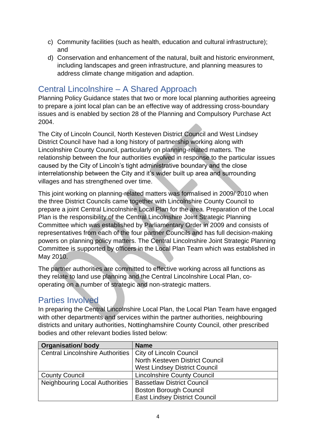- c) Community facilities (such as health, education and cultural infrastructure); and
- d) Conservation and enhancement of the natural, built and historic environment, including landscapes and green infrastructure, and planning measures to address climate change mitigation and adaption.

## <span id="page-3-0"></span>Central Lincolnshire – A Shared Approach

Planning Policy Guidance states that two or more local planning authorities agreeing to prepare a joint local plan can be an effective way of addressing cross-boundary issues and is enabled by section 28 of the Planning and Compulsory Purchase Act 2004.

The City of Lincoln Council, North Kesteven District Council and West Lindsey District Council have had a long history of partnership working along with Lincolnshire County Council, particularly on planning-related matters. The relationship between the four authorities evolved in response to the particular issues caused by the City of Lincoln's tight administrative boundary and the close interrelationship between the City and it's wider built up area and surrounding villages and has strengthened over time.

This joint working on planning-related matters was formalised in 2009/ 2010 when the three District Councils came together with Lincolnshire County Council to prepare a joint Central Lincolnshire Local Plan for the area. Preparation of the Local Plan is the responsibility of the Central Lincolnshire Joint Strategic Planning Committee which was established by Parliamentary Order in 2009 and consists of representatives from each of the four partner Councils and has full decision-making powers on planning policy matters. The Central Lincolnshire Joint Strategic Planning Committee is supported by officers in the Local Plan Team which was established in May 2010.

The partner authorities are committed to effective working across all functions as they relate to land use planning and the Central Lincolnshire Local Plan, cooperating on a number of strategic and non-strategic matters.

## <span id="page-3-1"></span>Parties Involved

In preparing the Central Lincolnshire Local Plan, the Local Plan Team have engaged with other departments and services within the partner authorities, neighbouring districts and unitary authorities, Nottinghamshire County Council, other prescribed bodies and other relevant bodies listed below:

| <b>Organisation/body</b>                                   | <b>Name</b>                          |
|------------------------------------------------------------|--------------------------------------|
| Central Lincolnshire Authorities   City of Lincoln Council |                                      |
|                                                            | North Kesteven District Council      |
|                                                            | <b>West Lindsey District Council</b> |
| <b>County Council</b>                                      | <b>Lincolnshire County Council</b>   |
| <b>Neighbouring Local Authorities</b>                      | <b>Bassetlaw District Council</b>    |
|                                                            | <b>Boston Borough Council</b>        |
|                                                            | <b>East Lindsey District Council</b> |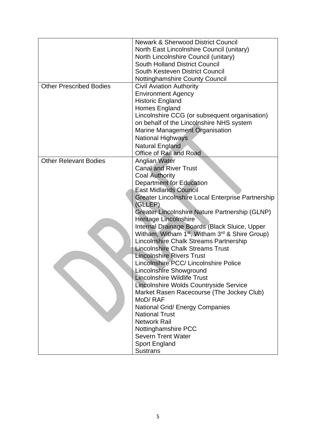|                                | <b>Newark &amp; Sherwood District Council</b>                          |  |  |
|--------------------------------|------------------------------------------------------------------------|--|--|
|                                | North East Lincolnshire Council (unitary)                              |  |  |
|                                | North Lincolnshire Council (unitary)                                   |  |  |
|                                | <b>South Holland District Council</b>                                  |  |  |
|                                | South Kesteven District Council                                        |  |  |
|                                | <b>Nottinghamshire County Council</b>                                  |  |  |
| <b>Other Prescribed Bodies</b> | <b>Civil Aviation Authority</b>                                        |  |  |
|                                | <b>Environment Agency</b>                                              |  |  |
|                                | <b>Historic England</b>                                                |  |  |
|                                | Homes England                                                          |  |  |
|                                | Lincolnshire CCG (or subsequent organisation)                          |  |  |
|                                | on behalf of the Lincolnshire NHS system                               |  |  |
|                                | Marine Management Organisation                                         |  |  |
|                                | <b>National Highways</b>                                               |  |  |
|                                | <b>Natural England</b>                                                 |  |  |
|                                | Office of Rail and Road                                                |  |  |
| <b>Other Relevant Bodies</b>   | <b>Anglian Water</b>                                                   |  |  |
|                                | <b>Canal and River Trust</b>                                           |  |  |
|                                | <b>Coal Authority</b>                                                  |  |  |
|                                | Department for Education                                               |  |  |
|                                | <b>East Midlands Council</b>                                           |  |  |
|                                | <b>Greater Lincolnshire Local Enterprise Partnership</b>               |  |  |
|                                | (GLLEP)                                                                |  |  |
|                                | Greater Lincolnshire Nature Partnership (GLNP)                         |  |  |
|                                | Heritage Lincolnshire                                                  |  |  |
|                                | Internal Drainage Boards (Black Sluice, Upper                          |  |  |
|                                | Witham, Witham 1 <sup>st</sup> , Witham 3 <sup>rd</sup> & Shire Group) |  |  |
|                                | Lincolnshire Chalk Streams Partnership                                 |  |  |
|                                | <b>Lincolnshire Chalk Streams Trust</b>                                |  |  |
|                                | <b>Lincolnshire Rivers Trust</b>                                       |  |  |
|                                | Lincolnshire PCC/ Lincolnshire Police                                  |  |  |
|                                | Lincolnshire Showground                                                |  |  |
|                                | <b>Lincolnshire Wildlife Trust</b>                                     |  |  |
|                                | Lincolnshire Wolds Countryside Service                                 |  |  |
|                                | Market Rasen Racecourse (The Jockey Club)                              |  |  |
|                                | MoD/RAF                                                                |  |  |
|                                | <b>National Grid/ Energy Companies</b>                                 |  |  |
|                                | <b>National Trust</b>                                                  |  |  |
|                                | <b>Network Rail</b>                                                    |  |  |
|                                | Nottinghamshire PCC                                                    |  |  |
|                                | <b>Severn Trent Water</b>                                              |  |  |
|                                | Sport England                                                          |  |  |
|                                | <b>Sustrans</b>                                                        |  |  |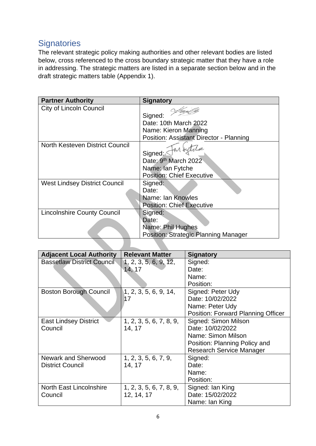## <span id="page-5-0"></span>**Signatories**

The relevant strategic policy making authorities and other relevant bodies are listed below, cross referenced to the cross boundary strategic matter that they have a role in addressing. The strategic matters are listed in a separate section below and in the draft strategic matters table (Appendix 1).

| <b>Partner Authority</b>             | <b>Signatory</b>                        |
|--------------------------------------|-----------------------------------------|
| <b>City of Lincoln Council</b>       |                                         |
|                                      | Signed:                                 |
|                                      | Date: 10th March 2022                   |
|                                      | Name: Kieron Manning                    |
|                                      | Position: Assistant Director - Planning |
| North Kesteven District Council      |                                         |
|                                      | Signed:                                 |
|                                      | Date: 9th March 2022                    |
|                                      | Name: Ian Fytche                        |
|                                      | <b>Position: Chief Executive</b>        |
| <b>West Lindsey District Council</b> | Signed:                                 |
|                                      | Date:                                   |
|                                      | Name: Ian Knowles                       |
|                                      | <b>Position: Chief Executive</b>        |
| <b>Lincolnshire County Council</b>   | Signed:                                 |
|                                      | Date:                                   |
|                                      | Name: Phil Hughes                       |
|                                      | Position: Strategic Planning Manager    |
|                                      |                                         |

| <b>Adjacent Local Authority</b>   | <b>Relevant Matter</b>  | <b>Signatory</b>                          |  |
|-----------------------------------|-------------------------|-------------------------------------------|--|
| <b>Bassetlaw District Council</b> | 1, 2, 3, 5, 6, 9, 12,   | Signed:                                   |  |
|                                   | 14, 17                  | Date:                                     |  |
|                                   |                         | Name:                                     |  |
|                                   |                         | Position:                                 |  |
| <b>Boston Borough Council</b>     | 1, 2, 3, 5, 6, 9, 14,   | Signed: Peter Udy                         |  |
|                                   | 17                      | Date: 10/02/2022                          |  |
|                                   |                         | Name: Peter Udy                           |  |
|                                   |                         | <b>Position: Forward Planning Officer</b> |  |
| <b>East Lindsey District</b>      | 1, 2, 3, 5, 6, 7, 8, 9, | Signed: Simon Milson                      |  |
| Council                           | 14, 17                  | Date: 10/02/2022                          |  |
|                                   |                         | Name: Simon Milson                        |  |
|                                   |                         | Position: Planning Policy and             |  |
|                                   |                         | <b>Research Service Manager</b>           |  |
| <b>Newark and Sherwood</b>        | 1, 2, 3, 5, 6, 7, 9,    | Signed:                                   |  |
| <b>District Council</b>           | 14, 17                  | Date:                                     |  |
|                                   |                         | Name:                                     |  |
|                                   |                         | Position:                                 |  |
| <b>North East Lincolnshire</b>    | 1, 2, 3, 5, 6, 7, 8, 9, | Signed: Ian King                          |  |
| Council                           | 12, 14, 17              | Date: 15/02/2022                          |  |
|                                   |                         | Name: Ian King                            |  |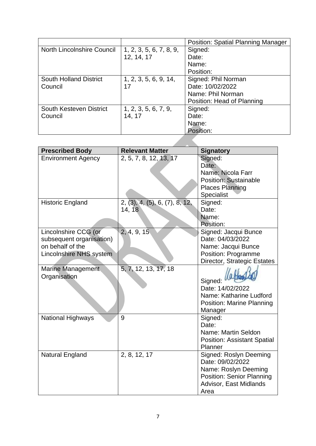|                               |                         | <b>Position: Spatial Planning Manager</b> |  |
|-------------------------------|-------------------------|-------------------------------------------|--|
| North Lincolnshire Council    | 1, 2, 3, 5, 6, 7, 8, 9, | Signed:                                   |  |
|                               | 12, 14, 17              | Date:                                     |  |
|                               |                         | Name:                                     |  |
|                               |                         | Position:                                 |  |
| <b>South Holland District</b> | 1, 2, 3, 5, 6, 9, 14,   | Signed: Phil Norman                       |  |
| Council                       | 17                      | Date: 10/02/2022                          |  |
|                               |                         | Name: Phil Norman                         |  |
|                               |                         | Position: Head of Planning                |  |
| South Kesteven District       | 1, 2, 3, 5, 6, 7, 9,    | Signed:                                   |  |
| Council                       | 14, 17                  | Date:                                     |  |
|                               |                         | Name:                                     |  |
|                               |                         | Position:                                 |  |
|                               |                         |                                           |  |

| <b>Prescribed Body</b>            | <b>Relevant Matter</b>         | <b>Signatory</b>                   |
|-----------------------------------|--------------------------------|------------------------------------|
| <b>Environment Agency</b>         | 2, 5, 7, 8, 12, 13, 17         | Signed:                            |
|                                   |                                | Date:                              |
|                                   |                                | Name: Nicola Farr                  |
|                                   |                                | <b>Position: Sustainable</b>       |
|                                   |                                | <b>Places Planning</b>             |
|                                   |                                | Specialist                         |
| <b>Historic England</b>           | 2, (3), 4, (5), 6, (7), 8, 12, | Signed:                            |
|                                   | 14, 18                         | Date:                              |
|                                   |                                | Name:                              |
|                                   |                                | Position:                          |
| Lincolnshire CCG (or              | 2, 4, 9, 15                    | Signed: Jacqui Bunce               |
| subsequent organisation)          |                                | Date: 04/03/2022                   |
| on behalf of the                  |                                | Name: Jacqui Bunce                 |
| Lincolnshire NHS system           |                                | Position: Programme                |
|                                   |                                | Director, Strategic Estates        |
| Marine Management<br>Organisation | 5, 7, 12, 13, 17, 18           | Signed:                            |
|                                   |                                | Date: 14/02/2022                   |
|                                   |                                | Name: Katharine Ludford            |
|                                   |                                | <b>Position: Marine Planning</b>   |
|                                   |                                | Manager                            |
| National Highways                 | 9                              | Signed:                            |
|                                   |                                | Date:                              |
|                                   |                                | Name: Martin Seldon                |
|                                   |                                | <b>Position: Assistant Spatial</b> |
|                                   |                                | Planner                            |
| Natural England                   | 2, 8, 12, 17                   | Signed: Roslyn Deeming             |
|                                   |                                | Date: 09/02/2022                   |
|                                   |                                | Name: Roslyn Deeming               |
|                                   |                                | <b>Position: Senior Planning</b>   |
|                                   |                                | Advisor, East Midlands             |
|                                   |                                | Area                               |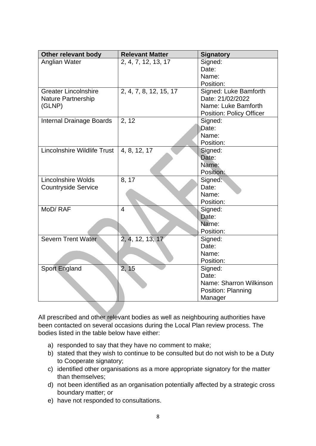| Other relevant body             | <b>Relevant Matter</b> | <b>Signatory</b>                |
|---------------------------------|------------------------|---------------------------------|
| Anglian Water                   | 2, 4, 7, 12, 13, 17    | Signed:                         |
|                                 |                        | Date:                           |
|                                 |                        | Name:                           |
|                                 |                        | Position:                       |
| <b>Greater Lincolnshire</b>     | 2, 4, 7, 8, 12, 15, 17 | Signed: Luke Bamforth           |
| <b>Nature Partnership</b>       |                        | Date: 21/02/2022                |
| (GLNP)                          |                        | Name: Luke Bamforth             |
|                                 |                        | <b>Position: Policy Officer</b> |
| <b>Internal Drainage Boards</b> | 2, 12                  | Signed:                         |
|                                 |                        | Date:                           |
|                                 |                        | Name:                           |
|                                 |                        | Position:                       |
| Lincolnshire Wildlife Trust     | 4, 8, 12, 17           | Signed:                         |
|                                 |                        | Date:                           |
|                                 |                        | Name:                           |
|                                 |                        | Position:                       |
| <b>Lincolnshire Wolds</b>       | 8, 17                  | Signed:                         |
| <b>Countryside Service</b>      |                        | Date:                           |
|                                 |                        | Name:                           |
|                                 |                        | Position:                       |
| MoD/RAF                         | $\overline{4}$         | Signed:                         |
|                                 |                        | Date:                           |
|                                 |                        | Name:                           |
|                                 |                        | Position:                       |
| <b>Severn Trent Water</b>       | 2, 4, 12, 13, 17       | Signed:                         |
|                                 |                        | Date:                           |
|                                 |                        | Name:                           |
|                                 |                        | Position:                       |
| <b>Sport England</b>            | 2, 15                  | Signed:                         |
|                                 |                        | Date:                           |
|                                 |                        | Name: Sharron Wilkinson         |
|                                 |                        | Position: Planning              |
|                                 |                        | Manager                         |

All prescribed and other relevant bodies as well as neighbouring authorities have been contacted on several occasions during the Local Plan review process. The bodies listed in the table below have either:

- a) responded to say that they have no comment to make;
- b) stated that they wish to continue to be consulted but do not wish to be a Duty to Cooperate signatory;
- c) identified other organisations as a more appropriate signatory for the matter than themselves;
- d) not been identified as an organisation potentially affected by a strategic cross boundary matter; or
- e) have not responded to consultations.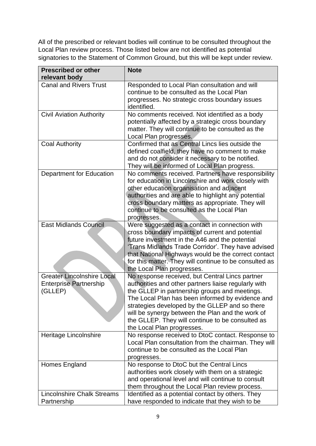All of the prescribed or relevant bodies will continue to be consulted throughout the Local Plan review process. Those listed below are not identified as potential signatories to the Statement of Common Ground, but this will be kept under review.

| <b>Prescribed or other</b><br>relevant body | <b>Note</b>                                                                                         |
|---------------------------------------------|-----------------------------------------------------------------------------------------------------|
| <b>Canal and Rivers Trust</b>               | Responded to Local Plan consultation and will                                                       |
|                                             | continue to be consulted as the Local Plan                                                          |
|                                             | progresses. No strategic cross boundary issues                                                      |
|                                             | identified.                                                                                         |
| <b>Civil Aviation Authority</b>             | No comments received. Not identified as a body                                                      |
|                                             | potentially affected by a strategic cross boundary                                                  |
|                                             | matter. They will continue to be consulted as the                                                   |
|                                             | Local Plan progresses.<br>Confirmed that as Central Lincs lies outside the                          |
| <b>Coal Authority</b>                       |                                                                                                     |
|                                             | defined coalfield, they have no comment to make<br>and do not consider it necessary to be notified. |
|                                             | They will be informed of Local Plan progress.                                                       |
| Department for Education                    | No comments received. Partners have responsibility                                                  |
|                                             | for education in Lincolnshire and work closely with                                                 |
|                                             | other education organisation and adjacent                                                           |
|                                             | authorities and are able to highlight any potential                                                 |
|                                             | cross boundary matters as appropriate. They will                                                    |
|                                             | continue to be consulted as the Local Plan                                                          |
|                                             | progresses.                                                                                         |
| <b>East Midlands Council</b>                | Were suggested as a contact in connection with                                                      |
|                                             | cross boundary impacts of current and potential                                                     |
|                                             | future investment in the A46 and the potential                                                      |
|                                             | 'Trans Midlands Trade Corridor'. They have advised                                                  |
|                                             | that National Highways would be the correct contact                                                 |
|                                             | for this matter. They will continue to be consulted as                                              |
|                                             | the Local Plan progresses.                                                                          |
| <b>Greater Lincolnshire Local</b>           | No response received, but Central Lincs partner                                                     |
| <b>Enterprise Partnership</b>               | authorities and other partners liaise regularly with                                                |
| (GLLEP)                                     | the GLLEP in partnership groups and meetings.                                                       |
|                                             | The Local Plan has been informed by evidence and                                                    |
|                                             | strategies developed by the GLLEP and so there                                                      |
|                                             | will be synergy between the Plan and the work of                                                    |
|                                             | the GLLEP. They will continue to be consulted as                                                    |
| Heritage Lincolnshire                       | the Local Plan progresses.<br>No response received to DtoC contact. Response to                     |
|                                             | Local Plan consultation from the chairman. They will                                                |
|                                             | continue to be consulted as the Local Plan                                                          |
|                                             | progresses.                                                                                         |
| Homes England                               | No response to DtoC but the Central Lincs                                                           |
|                                             | authorities work closely with them on a strategic                                                   |
|                                             | and operational level and will continue to consult                                                  |
|                                             | them throughout the Local Plan review process.                                                      |
| <b>Lincolnshire Chalk Streams</b>           | Identified as a potential contact by others. They                                                   |
| Partnership                                 | have responded to indicate that they wish to be                                                     |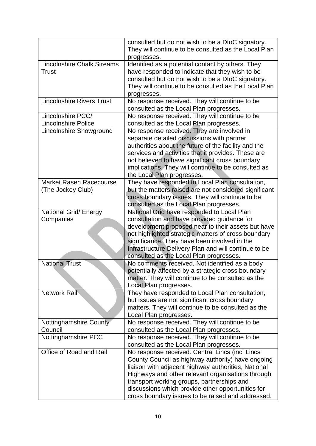|                                                 | consulted but do not wish to be a DtoC signatory.<br>They will continue to be consulted as the Local Plan<br>progresses.                                                                                                                                                                                                                                                 |
|-------------------------------------------------|--------------------------------------------------------------------------------------------------------------------------------------------------------------------------------------------------------------------------------------------------------------------------------------------------------------------------------------------------------------------------|
| <b>Lincolnshire Chalk Streams</b><br>Trust      | Identified as a potential contact by others. They<br>have responded to indicate that they wish to be<br>consulted but do not wish to be a DtoC signatory.                                                                                                                                                                                                                |
|                                                 | They will continue to be consulted as the Local Plan<br>progresses.                                                                                                                                                                                                                                                                                                      |
| <b>Lincolnshire Rivers Trust</b>                | No response received. They will continue to be<br>consulted as the Local Plan progresses.                                                                                                                                                                                                                                                                                |
| Lincolnshire PCC/<br><b>Lincolnshire Police</b> | No response received. They will continue to be<br>consulted as the Local Plan progresses.                                                                                                                                                                                                                                                                                |
| Lincolnshire Showground                         | No response received. They are involved in<br>separate detailed discussions with partner<br>authorities about the future of the facility and the<br>services and activities that it provides. These are<br>not believed to have significant cross boundary<br>implications. They will continue to be consulted as<br>the Local Plan progresses.                          |
| Market Rasen Racecourse<br>(The Jockey Club)    | They have responded to Local Plan consultation,<br>but the matters raised are not considered significant<br>cross boundary issues. They will continue to be<br>consulted as the Local Plan progresses.                                                                                                                                                                   |
| National Grid/ Energy<br>Companies              | National Grid have responded to Local Plan<br>consultation and have provided guidance for<br>development proposed near to their assets but have<br>not highlighted strategic matters of cross boundary<br>significance. They have been involved in the<br>Infrastructure Delivery Plan and will continue to be<br>consulted as the Local Plan progresses.                |
| <b>National Trust</b>                           | No comments received. Not identified as a body<br>potentially affected by a strategic cross boundary<br>matter. They will continue to be consulted as the<br>Local Plan progresses.                                                                                                                                                                                      |
| <b>Network Rail</b>                             | They have responded to Local Plan consultation,<br>but issues are not significant cross boundary<br>matters. They will continue to be consulted as the<br>Local Plan progresses.                                                                                                                                                                                         |
| Nottinghamshire County<br>Council               | No response received. They will continue to be<br>consulted as the Local Plan progresses.                                                                                                                                                                                                                                                                                |
| Nottinghamshire PCC                             | No response received. They will continue to be<br>consulted as the Local Plan progresses.                                                                                                                                                                                                                                                                                |
| Office of Road and Rail                         | No response received. Central Lincs (incl Lincs<br>County Council as highway authority) have ongoing<br>liaison with adjacent highway authorities, National<br>Highways and other relevant organisations through<br>transport working groups, partnerships and<br>discussions which provide other opportunities for<br>cross boundary issues to be raised and addressed. |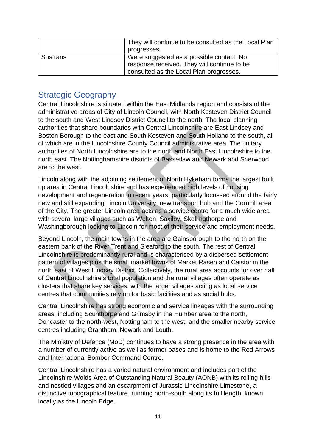|                 | They will continue to be consulted as the Local Plan<br>progresses.                     |  |
|-----------------|-----------------------------------------------------------------------------------------|--|
| <b>Sustrans</b> | Were suggested as a possible contact. No<br>response received. They will continue to be |  |
|                 | consulted as the Local Plan progresses.                                                 |  |

### <span id="page-10-0"></span>Strategic Geography

Central Lincolnshire is situated within the East Midlands region and consists of the administrative areas of City of Lincoln Council, with North Kesteven District Council to the south and West Lindsey District Council to the north. The local planning authorities that share boundaries with Central Lincolnshire are East Lindsey and Boston Borough to the east and South Kesteven and South Holland to the south, all of which are in the Lincolnshire County Council administrative area. The unitary authorities of North Lincolnshire are to the north and North East Lincolnshire to the north east. The Nottinghamshire districts of Bassetlaw and Newark and Sherwood are to the west.

Lincoln along with the adjoining settlement of North Hykeham forms the largest built up area in Central Lincolnshire and has experienced high levels of housing development and regeneration in recent years, particularly focussed around the fairly new and still expanding Lincoln University, new transport hub and the Cornhill area of the City. The greater Lincoln area acts as a service centre for a much wide area with several large villages such as Welton, Saxilby, Skellingthorpe and Washingborough looking to Lincoln for most of their service and employment needs.

Beyond Lincoln, the main towns in the area are Gainsborough to the north on the eastern bank of the River Trent and Sleaford to the south. The rest of Central Lincolnshire is predominantly rural and is characterised by a dispersed settlement pattern of villages plus the small market towns of Market Rasen and Caistor in the north east of West Lindsey District. Collectively, the rural area accounts for over half of Central Lincolnshire's total population and the rural villages often operate as clusters that share key services, with the larger villages acting as local service centres that communities rely on for basic facilities and as social hubs.

Central Lincolnshire has strong economic and service linkages with the surrounding areas, including Scunthorpe and Grimsby in the Humber area to the north, Doncaster to the north-west, Nottingham to the west, and the smaller nearby service centres including Grantham, Newark and Louth.

The Ministry of Defence (MoD) continues to have a strong presence in the area with a number of currently active as well as former bases and is home to the Red Arrows and International Bomber Command Centre.

Central Lincolnshire has a varied natural environment and includes part of the Lincolnshire Wolds Area of Outstanding Natural Beauty (AONB) with its rolling hills and nestled villages and an escarpment of Jurassic Lincolnshire Limestone, a distinctive topographical feature, running north-south along its full length, known locally as the Lincoln Edge.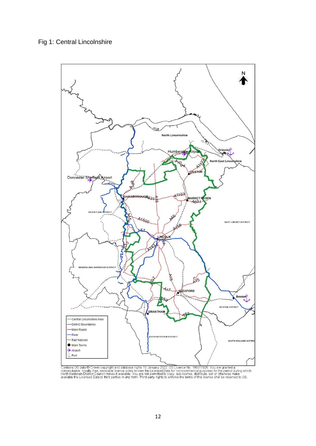

Leading OS data © Crown copyright and database rights 10 January 2022. OS Licence No. 100017926. You are granted a<br>Then-exclusive, royalty free, revocable licence solely to view the Licensed Data for non-commercial purpose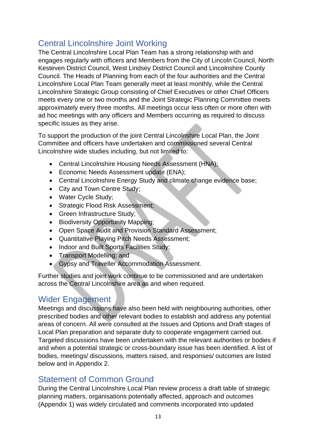## <span id="page-12-0"></span>Central Lincolnshire Joint Working

The Central Lincolnshire Local Plan Team has a strong relationship with and engages regularly with officers and Members from the City of Lincoln Council, North Kesteven District Council, West Lindsey District Council and Lincolnshire County Council. The Heads of Planning from each of the four authorities and the Central Lincolnshire Local Plan Team generally meet at least monthly, while the Central Lincolnshire Strategic Group consisting of Chief Executives or other Chief Officers meets every one or two months and the Joint Strategic Planning Committee meets approximately every three months. All meetings occur less often or more often with ad hoc meetings with any officers and Members occurring as required to discuss specific issues as they arise.

To support the production of the joint Central Lincolnshire Local Plan, the Joint Committee and officers have undertaken and commissioned several Central Lincolnshire wide studies including, but not limited to:

- Central Lincolnshire Housing Needs Assessment (HNA);
- Economic Needs Assessment update (ENA);
- Central Lincolnshire Energy Study and climate change evidence base;
- City and Town Centre Study;
- Water Cycle Study;
- Strategic Flood Risk Assessment;
- Green Infrastructure Study;
- Biodiversity Opportunity Mapping;
- Open Space Audit and Provision Standard Assessment;
- Quantitative Playing Pitch Needs Assessment;
- Indoor and Built Sports Facilities Study;
- Transport Modelling; and
- Gypsy and Traveller Accommodation Assessment.

Further studies and joint work continue to be commissioned and are undertaken across the Central Lincolnshire area as and when required.

## <span id="page-12-1"></span>Wider Engagement

Meetings and discussions have also been held with neighbouring authorities, other prescribed bodies and other relevant bodies to establish and address any potential areas of concern. All were consulted at the Issues and Options and Draft stages of Local Plan preparation and separate duty to cooperate engagement carried out. Targeted discussions have been undertaken with the relevant authorities or bodies if and when a potential strategic or cross-boundary issue has been identified. A list of bodies, meetings/ discussions, matters raised, and responses/ outcomes are listed below and in Appendix 2.

## <span id="page-12-2"></span>Statement of Common Ground

During the Central Lincolnshire Local Plan review process a draft table of strategic planning matters, organisations potentially affected, approach and outcomes (Appendix 1) was widely circulated and comments incorporated into updated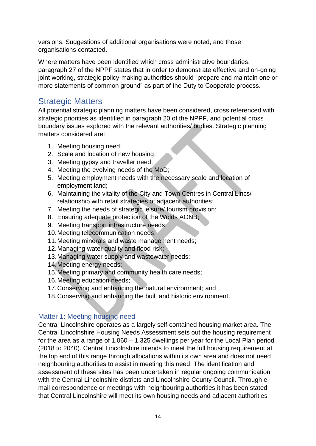versions. Suggestions of additional organisations were noted, and those organisations contacted.

Where matters have been identified which cross administrative boundaries, paragraph 27 of the NPPF states that in order to demonstrate effective and on-going joint working, strategic policy-making authorities should "prepare and maintain one or more statements of common ground" as part of the Duty to Cooperate process.

## <span id="page-13-0"></span>Strategic Matters

All potential strategic planning matters have been considered, cross referenced with strategic priorities as identified in paragraph 20 of the NPPF, and potential cross boundary issues explored with the relevant authorities/ bodies. Strategic planning matters considered are:

- 1. Meeting housing need;
- 2. Scale and location of new housing;
- 3. Meeting gypsy and traveller need;
- 4. Meeting the evolving needs of the MoD;
- 5. Meeting employment needs with the necessary scale and location of employment land;
- 6. Maintaining the vitality of the City and Town Centres in Central Lincs/ relationship with retail strategies of adjacent authorities;
- 7. Meeting the needs of strategic leisure/ tourism provision;
- 8. Ensuring adequate protection of the Wolds AONB;
- 9. Meeting transport infrastructure needs;
- 10.Meeting telecommunication needs;
- 11.Meeting minerals and waste management needs;
- 12.Managing water quality and flood risk;
- 13.Managing water supply and wastewater needs;
- 14.Meeting energy needs;
- 15.Meeting primary and community health care needs;
- 16.Meeting education needs;
- 17.Conserving and enhancing the natural environment; and
- 18.Conserving and enhancing the built and historic environment.

#### <span id="page-13-1"></span>Matter 1: Meeting housing need

Central Lincolnshire operates as a largely self-contained housing market area. The Central Lincolnshire Housing Needs Assessment sets out the housing requirement for the area as a range of 1,060 – 1,325 dwellings per year for the Local Plan period (2018 to 2040). Central Lincolnshire intends to meet the full housing requirement at the top end of this range through allocations within its own area and does not need neighbouring authorities to assist in meeting this need. The identification and assessment of these sites has been undertaken in regular ongoing communication with the Central Lincolnshire districts and Lincolnshire County Council. Through email correspondence or meetings with neighbouring authorities it has been stated that Central Lincolnshire will meet its own housing needs and adjacent authorities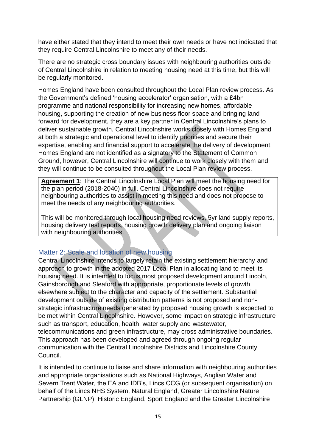have either stated that they intend to meet their own needs or have not indicated that they require Central Lincolnshire to meet any of their needs.

There are no strategic cross boundary issues with neighbouring authorities outside of Central Lincolnshire in relation to meeting housing need at this time, but this will be regularly monitored.

Homes England have been consulted throughout the Local Plan review process. As the Government's defined 'housing accelerator' organisation, with a £4bn programme and national responsibility for increasing new homes, affordable housing, supporting the creation of new business floor space and bringing land forward for development, they are a key partner in Central Lincolnshire's plans to deliver sustainable growth. Central Lincolnshire works closely with Homes England at both a strategic and operational level to identify priorities and secure their expertise, enabling and financial support to accelerate the delivery of development. Homes England are not identified as a signatory to the Statement of Common Ground, however, Central Lincolnshire will continue to work closely with them and they will continue to be consulted throughout the Local Plan review process.

**Agreement 1**: The Central Lincolnshire Local Plan will meet the housing need for the plan period (2018-2040) in full. Central Lincolnshire does not require neighbouring authorities to assist in meeting this need and does not propose to meet the needs of any neighbouring authorities.

This will be monitored through local housing need reviews, 5yr land supply reports, housing delivery test reports, housing growth delivery plan and ongoing liaison with neighbouring authorities.

#### <span id="page-14-0"></span>Matter 2: Scale and location of new housing

Central Lincolnshire intends to largely retain the existing settlement hierarchy and approach to growth in the adopted 2017 Local Plan in allocating land to meet its housing need. It is intended to focus most proposed development around Lincoln, Gainsborough and Sleaford with appropriate, proportionate levels of growth elsewhere subject to the character and capacity of the settlement. Substantial development outside of existing distribution patterns is not proposed and nonstrategic infrastructure needs generated by proposed housing growth is expected to be met within Central Lincolnshire. However, some impact on strategic infrastructure such as transport, education, health, water supply and wastewater, telecommunications and green infrastructure, may cross administrative boundaries. This approach has been developed and agreed through ongoing regular communication with the Central Lincolnshire Districts and Lincolnshire County Council.

It is intended to continue to liaise and share information with neighbouring authorities and appropriate organisations such as National Highways, Anglian Water and Severn Trent Water, the EA and IDB's, Lincs CCG (or subsequent organisation) on behalf of the Lincs NHS System, Natural England, Greater Lincolnshire Nature Partnership (GLNP), Historic England, Sport England and the Greater Lincolnshire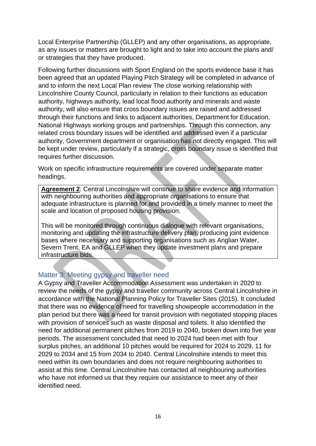Local Enterprise Partnership (GLLEP) and any other organisations, as appropriate, as any issues or matters are brought to light and to take into account the plans and/ or strategies that they have produced.

Following further discussions with Sport England on the sports evidence base it has been agreed that an updated Playing Pitch Strategy will be completed in advance of and to inform the next Local Plan review The close working relationship with Lincolnshire County Council, particularly in relation to their functions as education authority, highways authority, lead local flood authority and minerals and waste authority, will also ensure that cross boundary issues are raised and addressed through their functions and links to adjacent authorities, Department for Education, National Highways working groups and partnerships. Through this connection, any related cross boundary issues will be identified and addressed even if a particular authority, Government department or organisation has not directly engaged. This will be kept under review, particularly if a strategic, cross boundary issue is identified that requires further discussion.

Work on specific infrastructure requirements are covered under separate matter headings.

**Agreement 2**: Central Lincolnshire will continue to share evidence and information with neighbouring authorities and appropriate organisations to ensure that adequate infrastructure is planned for and provided in a timely manner to meet the scale and location of proposed housing provision.

This will be monitored through continuous dialogue with relevant organisations, monitoring and updating the infrastructure delivery plan, producing joint evidence bases where necessary and supporting organisations such as Anglian Water, Severn Trent, EA and GLLEP when they update investment plans and prepare infrastructure bids.

#### <span id="page-15-0"></span>Matter 3: Meeting gypsy and traveller need

A Gypsy and Traveller Accommodation Assessment was undertaken in 2020 to review the needs of the gypsy and traveller community across Central Lincolnshire in accordance with the National Planning Policy for Traveller Sites (2015). It concluded that there was no evidence of need for travelling showpeople accommodation in the plan period but there was a need for transit provision with negotiated stopping places with provision of services such as waste disposal and toilets. It also identified the need for additional permanent pitches from 2019 to 2040, broken down into five year periods. The assessment concluded that need to 2024 had been met with four surplus pitches, an additional 10 pitches would be required for 2024 to 2029, 11 for 2029 to 2034 and 15 from 2034 to 2040. Central Lincolnshire intends to meet this need within its own boundaries and does not require neighbouring authorities to assist at this time. Central Lincolnshire has contacted all neighbouring authorities who have not informed us that they require our assistance to meet any of their identified need.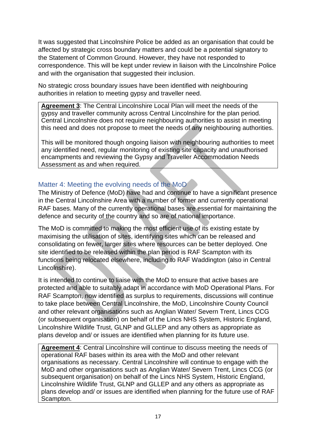It was suggested that Lincolnshire Police be added as an organisation that could be affected by strategic cross boundary matters and could be a potential signatory to the Statement of Common Ground. However, they have not responded to correspondence. This will be kept under review in liaison with the Lincolnshire Police and with the organisation that suggested their inclusion.

No strategic cross boundary issues have been identified with neighbouring authorities in relation to meeting gypsy and traveller need.

**Agreement 3**: The Central Lincolnshire Local Plan will meet the needs of the gypsy and traveller community across Central Lincolnshire for the plan period. Central Lincolnshire does not require neighbouring authorities to assist in meeting this need and does not propose to meet the needs of any neighbouring authorities.

This will be monitored though ongoing liaison with neighbouring authorities to meet any identified need, regular monitoring of existing site capacity and unauthorised encampments and reviewing the Gypsy and Traveller Accommodation Needs Assessment as and when required.

#### <span id="page-16-0"></span>Matter 4: Meeting the evolving needs of the MoD

The Ministry of Defence (MoD) have had and continue to have a significant presence in the Central Lincolnshire Area with a number of former and currently operational RAF bases. Many of the currently operational bases are essential for maintaining the defence and security of the country and so are of national importance.

The MoD is committed to making the most efficient use of its existing estate by maximising the utilisation of sites, identifying sites which can be released and consolidating on fewer, larger sites where resources can be better deployed. One site identified to be released within the plan period is RAF Scampton with its functions being relocated elsewhere, including to RAF Waddington (also in Central Lincolnshire).

It is intended to continue to liaise with the MoD to ensure that active bases are protected and able to suitably adapt in accordance with MoD Operational Plans. For RAF Scampton, now identified as surplus to requirements, discussions will continue to take place between Central Lincolnshire, the MoD, Lincolnshire County Council and other relevant organisations such as Anglian Water/ Severn Trent, Lincs CCG (or subsequent organisation) on behalf of the Lincs NHS System, Historic England, Lincolnshire Wildlife Trust, GLNP and GLLEP and any others as appropriate as plans develop and/ or issues are identified when planning for its future use.

**Agreement 4**: Central Lincolnshire will continue to discuss meeting the needs of operational RAF bases within its area with the MoD and other relevant organisations as necessary. Central Lincolnshire will continue to engage with the MoD and other organisations such as Anglian Water/ Severn Trent, Lincs CCG (or subsequent organisation) on behalf of the Lincs NHS System, Historic England, Lincolnshire Wildlife Trust, GLNP and GLLEP and any others as appropriate as plans develop and/ or issues are identified when planning for the future use of RAF Scampton.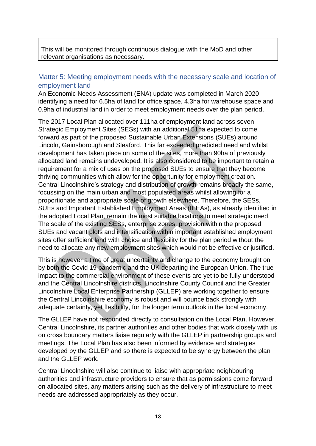This will be monitored through continuous dialogue with the MoD and other relevant organisations as necessary.

#### <span id="page-17-0"></span>Matter 5: Meeting employment needs with the necessary scale and location of employment land

An Economic Needs Assessment (ENA) update was completed in March 2020 identifying a need for 6.5ha of land for office space, 4.3ha for warehouse space and 0.9ha of industrial land in order to meet employment needs over the plan period.

The 2017 Local Plan allocated over 111ha of employment land across seven Strategic Employment Sites (SESs) with an additional 51ha expected to come forward as part of the proposed Sustainable Urban Extensions (SUEs) around Lincoln, Gainsborough and Sleaford. This far exceeded predicted need and whilst development has taken place on some of the sites, more than 90ha of previously allocated land remains undeveloped. It is also considered to be important to retain a requirement for a mix of uses on the proposed SUEs to ensure that they become thriving communities which allow for the opportunity for employment creation. Central Lincolnshire's strategy and distribution of growth remains broadly the same, focussing on the main urban and most populated areas whilst allowing for a proportionate and appropriate scale of growth elsewhere. Therefore, the SESs, SUEs and Important Established Employment Areas (IEEAs), as already identified in the adopted Local Plan, remain the most suitable locations to meet strategic need. The scale of the existing SESs, enterprise zones, provision within the proposed SUEs and vacant plots and intensification within important established employment sites offer sufficient land with choice and flexibility for the plan period without the need to allocate any new employment sites which would not be effective or justified.

This is however a time of great uncertainty and change to the economy brought on by both the Covid 19 pandemic and the UK departing the European Union. The true impact to the commercial environment of these events are yet to be fully understood and the Central Lincolnshire districts, Lincolnshire County Council and the Greater Lincolnshire Local Enterprise Partnership (GLLEP) are working together to ensure the Central Lincolnshire economy is robust and will bounce back strongly with adequate certainty, yet flexibility, for the longer term outlook in the local economy.

The GLLEP have not responded directly to consultation on the Local Plan. However, Central Lincolnshire, its partner authorities and other bodies that work closely with us on cross boundary matters liaise regularly with the GLLEP in partnership groups and meetings. The Local Plan has also been informed by evidence and strategies developed by the GLLEP and so there is expected to be synergy between the plan and the GLLEP work.

Central Lincolnshire will also continue to liaise with appropriate neighbouring authorities and infrastructure providers to ensure that as permissions come forward on allocated sites, any matters arising such as the delivery of infrastructure to meet needs are addressed appropriately as they occur.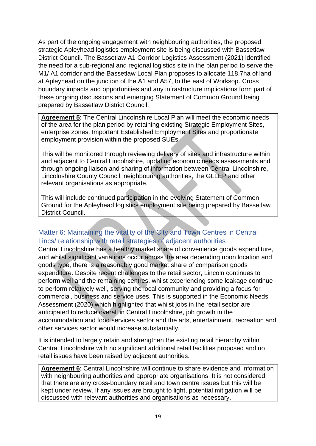As part of the ongoing engagement with neighbouring authorities, the proposed strategic Apleyhead logistics employment site is being discussed with Bassetlaw District Council. The Bassetlaw A1 Corridor Logistics Assessment (2021) identified the need for a sub-regional and regional logistics site in the plan period to serve the M1/ A1 corridor and the Bassetlaw Local Plan proposes to allocate 118.7ha of land at Apleyhead on the junction of the A1 and A57, to the east of Worksop. Cross boundary impacts and opportunities and any infrastructure implications form part of these ongoing discussions and emerging Statement of Common Ground being prepared by Bassetlaw District Council.

**Agreement 5**: The Central Lincolnshire Local Plan will meet the economic needs of the area for the plan period by retaining existing Strategic Employment Sites, enterprise zones, Important Established Employment Sites and proportionate employment provision within the proposed SUEs.

This will be monitored through reviewing delivery of sites and infrastructure within and adjacent to Central Lincolnshire, updating economic needs assessments and through ongoing liaison and sharing of information between Central Lincolnshire, Lincolnshire County Council, neighbouring authorities, the GLLEP and other relevant organisations as appropriate.

This will include continued participation in the evolving Statement of Common Ground for the Apleyhead logistics employment site being prepared by Bassetlaw District Council.

#### <span id="page-18-0"></span>Matter 6: Maintaining the vitality of the City and Town Centres in Central Lincs/ relationship with retail strategies of adjacent authorities

Central Lincolnshire has a healthy market share of convenience goods expenditure, and whilst significant variations occur across the area depending upon location and goods type, there is a reasonably good market share of comparison goods expenditure. Despite recent challenges to the retail sector, Lincoln continues to perform well and the remaining centres, whilst experiencing some leakage continue to perform relatively well, serving the local community and providing a focus for commercial, business and service uses. This is supported in the Economic Needs Assessment (2020) which highlighted that whilst jobs in the retail sector are anticipated to reduce overall in Central Lincolnshire, job growth in the accommodation and food services sector and the arts, entertainment, recreation and other services sector would increase substantially.

It is intended to largely retain and strengthen the existing retail hierarchy within Central Lincolnshire with no significant additional retail facilities proposed and no retail issues have been raised by adjacent authorities.

**Agreement 6**: Central Lincolnshire will continue to share evidence and information with neighbouring authorities and appropriate organisations. It is not considered that there are any cross-boundary retail and town centre issues but this will be kept under review. If any issues are brought to light, potential mitigation will be discussed with relevant authorities and organisations as necessary.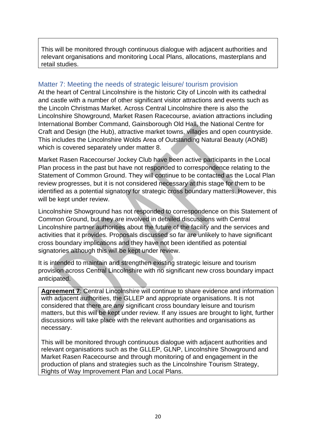This will be monitored through continuous dialogue with adjacent authorities and relevant organisations and monitoring Local Plans, allocations, masterplans and retail studies.

#### <span id="page-19-0"></span>Matter 7: Meeting the needs of strategic leisure/ tourism provision

At the heart of Central Lincolnshire is the historic City of Lincoln with its cathedral and castle with a number of other significant visitor attractions and events such as the Lincoln Christmas Market. Across Central Lincolnshire there is also the Lincolnshire Showground, Market Rasen Racecourse, aviation attractions including International Bomber Command, Gainsborough Old Hall, the National Centre for Craft and Design (the Hub), attractive market towns, villages and open countryside. This includes the Lincolnshire Wolds Area of Outstanding Natural Beauty (AONB) which is covered separately under matter 8.

Market Rasen Racecourse/ Jockey Club have been active participants in the Local Plan process in the past but have not responded to correspondence relating to the Statement of Common Ground. They will continue to be contacted as the Local Plan review progresses, but it is not considered necessary at this stage for them to be identified as a potential signatory for strategic cross boundary matters. However, this will be kept under review.

Lincolnshire Showground has not responded to correspondence on this Statement of Common Ground, but they are involved in detailed discussions with Central Lincolnshire partner authorities about the future of the facility and the services and activities that it provides. Proposals discussed so far are unlikely to have significant cross boundary implications and they have not been identified as potential signatories although this will be kept under review.

It is intended to maintain and strengthen existing strategic leisure and tourism provision across Central Lincolnshire with no significant new cross boundary impact anticipated.

**Agreement 7**: Central Lincolnshire will continue to share evidence and information with adjacent authorities, the GLLEP and appropriate organisations. It is not considered that there are any significant cross boundary leisure and tourism matters, but this will be kept under review. If any issues are brought to light, further discussions will take place with the relevant authorities and organisations as necessary.

This will be monitored through continuous dialogue with adjacent authorities and relevant organisations such as the GLLEP, GLNP, Lincolnshire Showground and Market Rasen Racecourse and through monitoring of and engagement in the production of plans and strategies such as the Lincolnshire Tourism Strategy, Rights of Way Improvement Plan and Local Plans.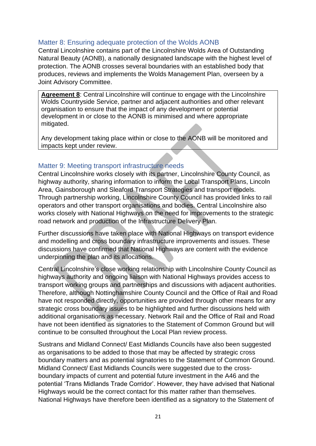#### <span id="page-20-0"></span>Matter 8: Ensuring adequate protection of the Wolds AONB

Central Lincolnshire contains part of the Lincolnshire Wolds Area of Outstanding Natural Beauty (AONB), a nationally designated landscape with the highest level of protection. The AONB crosses several boundaries with an established body that produces, reviews and implements the Wolds Management Plan, overseen by a Joint Advisory Committee.

**Agreement 8**: Central Lincolnshire will continue to engage with the Lincolnshire Wolds Countryside Service, partner and adjacent authorities and other relevant organisation to ensure that the impact of any development or potential development in or close to the AONB is minimised and where appropriate mitigated.

Any development taking place within or close to the AONB will be monitored and impacts kept under review.

#### <span id="page-20-1"></span>Matter 9: Meeting transport infrastructure needs

Central Lincolnshire works closely with its partner, Lincolnshire County Council, as highway authority, sharing information to inform the Local Transport Plans, Lincoln Area, Gainsborough and Sleaford Transport Strategies and transport models. Through partnership working, Lincolnshire County Council has provided links to rail operators and other transport organisations and bodies. Central Lincolnshire also works closely with National Highways on the need for improvements to the strategic road network and production of the Infrastructure Delivery Plan.

Further discussions have taken place with National Highways on transport evidence and modelling and cross boundary infrastructure improvements and issues. These discussions have confirmed that National Highways are content with the evidence underpinning the plan and its allocations.

Central Lincolnshire's close working relationship with Lincolnshire County Council as highways authority and ongoing liaison with National Highways provides access to transport working groups and partnerships and discussions with adjacent authorities. Therefore, although Nottinghamshire County Council and the Office of Rail and Road have not responded directly, opportunities are provided through other means for any strategic cross boundary issues to be highlighted and further discussions held with additional organisations as necessary. Network Rail and the Office of Rail and Road have not been identified as signatories to the Statement of Common Ground but will continue to be consulted throughout the Local Plan review process.

Sustrans and Midland Connect/ East Midlands Councils have also been suggested as organisations to be added to those that may be affected by strategic cross boundary matters and as potential signatories to the Statement of Common Ground. Midland Connect/ East Midlands Councils were suggested due to the crossboundary impacts of current and potential future investment in the A46 and the potential 'Trans Midlands Trade Corridor'. However, they have advised that National Highways would be the correct contact for this matter rather than themselves. National Highways have therefore been identified as a signatory to the Statement of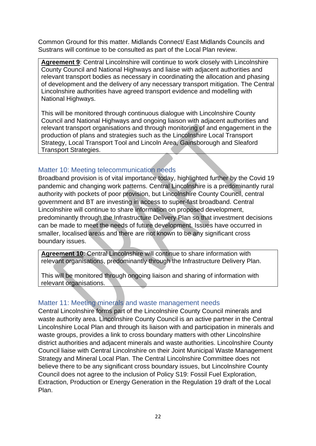Common Ground for this matter. Midlands Connect/ East Midlands Councils and Sustrans will continue to be consulted as part of the Local Plan review.

**Agreement 9**: Central Lincolnshire will continue to work closely with Lincolnshire County Council and National Highways and liaise with adjacent authorities and relevant transport bodies as necessary in coordinating the allocation and phasing of development and the delivery of any necessary transport mitigation. The Central Lincolnshire authorities have agreed transport evidence and modelling with National Highways.

This will be monitored through continuous dialogue with Lincolnshire County Council and National Highways and ongoing liaison with adjacent authorities and relevant transport organisations and through monitoring of and engagement in the production of plans and strategies such as the Lincolnshire Local Transport Strategy, Local Transport Tool and Lincoln Area, Gainsborough and Sleaford Transport Strategies.

#### <span id="page-21-0"></span>Matter 10: Meeting telecommunication needs

Broadband provision is of vital importance today, highlighted further by the Covid 19 pandemic and changing work patterns. Central Lincolnshire is a predominantly rural authority with pockets of poor provision, but Lincolnshire County Council, central government and BT are investing in access to super-fast broadband. Central Lincolnshire will continue to share information on proposed development, predominantly through the Infrastructure Delivery Plan so that investment decisions can be made to meet the needs of future development. Issues have occurred in smaller, localised areas and there are not known to be any significant cross boundary issues.

**Agreement 10**: Central Lincolnshire will continue to share information with relevant organisations, predominantly through the Infrastructure Delivery Plan.

This will be monitored through ongoing liaison and sharing of information with relevant organisations.

#### <span id="page-21-1"></span>Matter 11: Meeting minerals and waste management needs

Central Lincolnshire forms part of the Lincolnshire County Council minerals and waste authority area. Lincolnshire County Council is an active partner in the Central Lincolnshire Local Plan and through its liaison with and participation in minerals and waste groups, provides a link to cross boundary matters with other Lincolnshire district authorities and adjacent minerals and waste authorities. Lincolnshire County Council liaise with Central Lincolnshire on their Joint Municipal Waste Management Strategy and Mineral Local Plan. The Central Lincolnshire Committee does not believe there to be any significant cross boundary issues, but Lincolnshire County Council does not agree to the inclusion of Policy S19: Fossil Fuel Exploration, Extraction, Production or Energy Generation in the Regulation 19 draft of the Local Plan.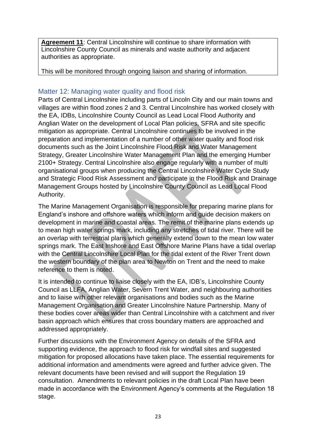**Agreement 11**: Central Lincolnshire will continue to share information with Lincolnshire County Council as minerals and waste authority and adjacent authorities as appropriate.

This will be monitored through ongoing liaison and sharing of information.

#### <span id="page-22-0"></span>Matter 12: Managing water quality and flood risk

Parts of Central Lincolnshire including parts of Lincoln City and our main towns and villages are within flood zones 2 and 3. Central Lincolnshire has worked closely with the EA, IDBs, Lincolnshire County Council as Lead Local Flood Authority and Anglian Water on the development of Local Plan policies, SFRA and site specific mitigation as appropriate. Central Lincolnshire continues to be involved in the preparation and implementation of a number of other water quality and flood risk documents such as the Joint Lincolnshire Flood Risk and Water Management Strategy, Greater Lincolnshire Water Management Plan and the emerging Humber 2100+ Strategy. Central Lincolnshire also engage regularly with a number of multi organisational groups when producing the Central Lincolnshire Water Cycle Study and Strategic Flood Risk Assessment and participate in the Flood Risk and Drainage Management Groups hosted by Lincolnshire County Council as Lead Local Flood Authority.

The Marine Management Organisation is responsible for preparing marine plans for England's inshore and offshore waters which inform and guide decision makers on development in marine and coastal areas. The remit of the marine plans extends up to mean high water springs mark, including any stretches of tidal river. There will be an overlap with terrestrial plans which generally extend down to the mean low water springs mark. The East Inshore and East Offshore Marine Plans have a tidal overlap with the Central Lincolnshire Local Plan for the tidal extent of the River Trent down the western boundary of the plan area to Newton on Trent and the need to make reference to them is noted.

It is intended to continue to liaise closely with the EA, IDB's, Lincolnshire County Council as LLFA, Anglian Water, Severn Trent Water, and neighbouring authorities and to liaise with other relevant organisations and bodies such as the Marine Management Organisation and Greater Lincolnshire Nature Partnership. Many of these bodies cover areas wider than Central Lincolnshire with a catchment and river basin approach which ensures that cross boundary matters are approached and addressed appropriately.

Further discussions with the Environment Agency on details of the SFRA and supporting evidence, the approach to flood risk for windfall sites and suggested mitigation for proposed allocations have taken place. The essential requirements for additional information and amendments were agreed and further advice given. The relevant documents have been revised and will support the Regulation 19 consultation. Amendments to relevant policies in the draft Local Plan have been made in accordance with the Environment Agency's comments at the Regulation 18 stage.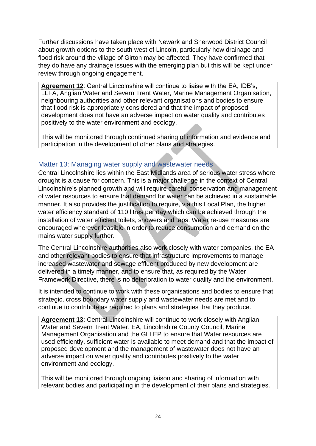Further discussions have taken place with Newark and Sherwood District Council about growth options to the south west of Lincoln, particularly how drainage and flood risk around the village of Girton may be affected. They have confirmed that they do have any drainage issues with the emerging plan but this will be kept under review through ongoing engagement.

**Agreement 12**: Central Lincolnshire will continue to liaise with the EA, IDB's, LLFA, Anglian Water and Severn Trent Water, Marine Management Organisation, neighbouring authorities and other relevant organisations and bodies to ensure that flood risk is appropriately considered and that the impact of proposed development does not have an adverse impact on water quality and contributes positively to the water environment and ecology.

This will be monitored through continued sharing of information and evidence and participation in the development of other plans and strategies.

#### <span id="page-23-0"></span>Matter 13: Managing water supply and wastewater needs

Central Lincolnshire lies within the East Midlands area of serious water stress where drought is a cause for concern. This is a major challenge in the context of Central Lincolnshire's planned growth and will require careful conservation and management of water resources to ensure that demand for water can be achieved in a sustainable manner. It also provides the justification to require, via this Local Plan, the higher water efficiency standard of 110 litres per day which can be achieved through the installation of water efficient toilets, showers and taps. Water re-use measures are encouraged wherever feasible in order to reduce consumption and demand on the mains water supply further.

The Central Lincolnshire authorities also work closely with water companies, the EA and other relevant bodies to ensure that infrastructure improvements to manage increased wastewater and sewage effluent produced by new development are delivered in a timely manner, and to ensure that, as required by the Water Framework Directive, there is no deterioration to water quality and the environment.

It is intended to continue to work with these organisations and bodies to ensure that strategic, cross boundary water supply and wastewater needs are met and to continue to contribute as required to plans and strategies that they produce.

**Agreement 13**: Central Lincolnshire will continue to work closely with Anglian Water and Severn Trent Water, EA, Lincolnshire County Council, Marine Management Organisation and the GLLEP to ensure that Water resources are used efficiently, sufficient water is available to meet demand and that the impact of proposed development and the management of wastewater does not have an adverse impact on water quality and contributes positively to the water environment and ecology.

This will be monitored through ongoing liaison and sharing of information with relevant bodies and participating in the development of their plans and strategies.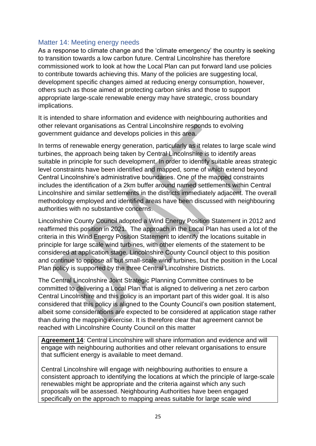#### <span id="page-24-0"></span>Matter 14: Meeting energy needs

As a response to climate change and the 'climate emergency' the country is seeking to transition towards a low carbon future. Central Lincolnshire has therefore commissioned work to look at how the Local Plan can put forward land use policies to contribute towards achieving this. Many of the policies are suggesting local, development specific changes aimed at reducing energy consumption, however, others such as those aimed at protecting carbon sinks and those to support appropriate large-scale renewable energy may have strategic, cross boundary implications.

It is intended to share information and evidence with neighbouring authorities and other relevant organisations as Central Lincolnshire responds to evolving government guidance and develops policies in this area.

In terms of renewable energy generation, particularly as it relates to large scale wind turbines, the approach being taken by Central Lincolnshire is to identify areas suitable in principle for such development. In order to identify suitable areas strategic level constraints have been identified and mapped, some of which extend beyond Central Lincolnshire's administrative boundaries. One of the mapped constraints includes the identification of a 2km buffer around named settlements within Central Lincolnshire and similar settlements in the districts immediately adjacent. The overall methodology employed and identified areas have been discussed with neighbouring authorities with no substantive concerns.

Lincolnshire County Council adopted a Wind Energy Position Statement in 2012 and reaffirmed this position in 2021. The approach in the Local Plan has used a lot of the criteria in this Wind Energy Position Statement to identify the locations suitable in principle for large scale wind turbines, with other elements of the statement to be considered at application stage. Lincolnshire County Council object to this position and continue to oppose all but small-scale wind turbines, but the position in the Local Plan policy is supported by the three Central Lincolnshire Districts.

The Central Lincolnshire Joint Strategic Planning Committee continues to be committed to delivering a Local Plan that is aligned to delivering a net zero carbon Central Lincolnshire and this policy is an important part of this wider goal. It is also considered that this policy is aligned to the County Council's own position statement, albeit some considerations are expected to be considered at application stage rather than during the mapping exercise. It is therefore clear that agreement cannot be reached with Lincolnshire County Council on this matter

**Agreement 14**: Central Lincolnshire will share information and evidence and will engage with neighbouring authorities and other relevant organisations to ensure that sufficient energy is available to meet demand.

Central Lincolnshire will engage with neighbouring authorities to ensure a consistent approach to identifying the locations at which the principle of large-scale renewables might be appropriate and the criteria against which any such proposals will be assessed. Neighbouring Authorities have been engaged specifically on the approach to mapping areas suitable for large scale wind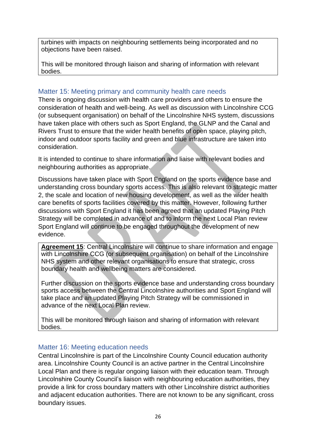turbines with impacts on neighbouring settlements being incorporated and no objections have been raised.

This will be monitored through liaison and sharing of information with relevant bodies.

#### <span id="page-25-0"></span>Matter 15: Meeting primary and community health care needs

There is ongoing discussion with health care providers and others to ensure the consideration of health and well-being. As well as discussion with Lincolnshire CCG (or subsequent organisation) on behalf of the Lincolnshire NHS system, discussions have taken place with others such as Sport England, the GLNP and the Canal and Rivers Trust to ensure that the wider health benefits of open space, playing pitch, indoor and outdoor sports facility and green and blue infrastructure are taken into consideration.

It is intended to continue to share information and liaise with relevant bodies and neighbouring authorities as appropriate.

Discussions have taken place with Sport England on the sports evidence base and understanding cross boundary sports access. This is also relevant to strategic matter 2, the scale and location of new housing development, as well as the wider health care benefits of sports facilities covered by this matter. However, following further discussions with Sport England it has been agreed that an updated Playing Pitch Strategy will be completed in advance of and to inform the next Local Plan review Sport England will continue to be engaged throughout the development of new evidence.

**Agreement 15**: Central Lincolnshire will continue to share information and engage with Lincolnshire CCG (or subsequent organisation) on behalf of the Lincolnshire NHS system and other relevant organisations to ensure that strategic, cross boundary health and wellbeing matters are considered.

Further discussion on the sports evidence base and understanding cross boundary sports access between the Central Lincolnshire authorities and Sport England will take place and an updated Playing Pitch Strategy will be commissioned in advance of the next Local Plan review.

This will be monitored through liaison and sharing of information with relevant bodies.

#### <span id="page-25-1"></span>Matter 16: Meeting education needs

Central Lincolnshire is part of the Lincolnshire County Council education authority area. Lincolnshire County Council is an active partner in the Central Lincolnshire Local Plan and there is regular ongoing liaison with their education team. Through Lincolnshire County Council's liaison with neighbouring education authorities, they provide a link for cross boundary matters with other Lincolnshire district authorities and adjacent education authorities. There are not known to be any significant, cross boundary issues.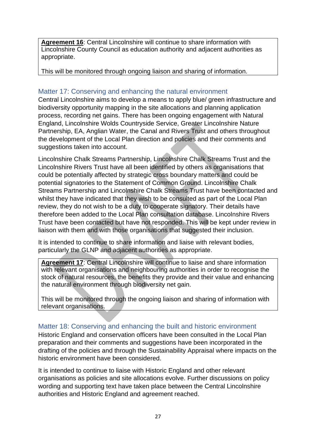**Agreement 16**: Central Lincolnshire will continue to share information with Lincolnshire County Council as education authority and adjacent authorities as appropriate.

This will be monitored through ongoing liaison and sharing of information.

#### <span id="page-26-0"></span>Matter 17: Conserving and enhancing the natural environment

Central Lincolnshire aims to develop a means to apply blue/ green infrastructure and biodiversity opportunity mapping in the site allocations and planning application process, recording net gains. There has been ongoing engagement with Natural England, Lincolnshire Wolds Countryside Service, Greater Lincolnshire Nature Partnership, EA, Anglian Water, the Canal and Rivers Trust and others throughout the development of the Local Plan direction and policies and their comments and suggestions taken into account.

Lincolnshire Chalk Streams Partnership, Lincolnshire Chalk Streams Trust and the Lincolnshire Rivers Trust have all been identified by others as organisations that could be potentially affected by strategic cross boundary matters and could be potential signatories to the Statement of Common Ground. Lincolnshire Chalk Streams Partnership and Lincolnshire Chalk Streams Trust have been contacted and whilst they have indicated that they wish to be consulted as part of the Local Plan review, they do not wish to be a duty to cooperate signatory. Their details have therefore been added to the Local Plan consultation database. Lincolnshire Rivers Trust have been contacted but have not responded. This will be kept under review in liaison with them and with those organisations that suggested their inclusion.

It is intended to continue to share information and liaise with relevant bodies, particularly the GLNP and adjacent authorities as appropriate.

**Agreement 17**: Central Lincolnshire will continue to liaise and share information with relevant organisations and neighbouring authorities in order to recognise the stock of natural resources, the benefits they provide and their value and enhancing the natural environment through biodiversity net gain.

This will be monitored through the ongoing liaison and sharing of information with relevant organisations.

#### <span id="page-26-1"></span>Matter 18: Conserving and enhancing the built and historic environment

Historic England and conservation officers have been consulted in the Local Plan preparation and their comments and suggestions have been incorporated in the drafting of the policies and through the Sustainability Appraisal where impacts on the historic environment have been considered.

It is intended to continue to liaise with Historic England and other relevant organisations as policies and site allocations evolve. Further discussions on policy wording and supporting text have taken place between the Central Lincolnshire authorities and Historic England and agreement reached.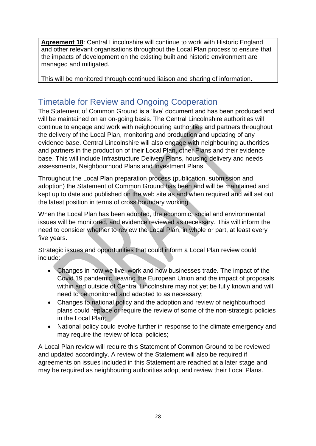**Agreement 18**: Central Lincolnshire will continue to work with Historic England and other relevant organisations throughout the Local Plan process to ensure that the impacts of development on the existing built and historic environment are managed and mitigated.

This will be monitored through continued liaison and sharing of information.

## <span id="page-27-0"></span>Timetable for Review and Ongoing Cooperation

The Statement of Common Ground is a 'live' document and has been produced and will be maintained on an on-going basis. The Central Lincolnshire authorities will continue to engage and work with neighbouring authorities and partners throughout the delivery of the Local Plan, monitoring and production and updating of any evidence base. Central Lincolnshire will also engage with neighbouring authorities and partners in the production of their Local Plan, other Plans and their evidence base. This will include Infrastructure Delivery Plans, housing delivery and needs assessments, Neighbourhood Plans and Investment Plans.

Throughout the Local Plan preparation process (publication, submission and adoption) the Statement of Common Ground has been and will be maintained and kept up to date and published on the web site as and when required and will set out the latest position in terms of cross boundary working.

When the Local Plan has been adopted, the economic, social and environmental issues will be monitored, and evidence reviewed as necessary. This will inform the need to consider whether to review the Local Plan, in whole or part, at least every five years.

Strategic issues and opportunities that could inform a Local Plan review could include:

- Changes in how we live, work and how businesses trade. The impact of the Covid 19 pandemic, leaving the European Union and the impact of proposals within and outside of Central Lincolnshire may not yet be fully known and will need to be monitored and adapted to as necessary;
- Changes to national policy and the adoption and review of neighbourhood plans could replace or require the review of some of the non-strategic policies in the Local Plan;
- National policy could evolve further in response to the climate emergency and may require the review of local policies;

A Local Plan review will require this Statement of Common Ground to be reviewed and updated accordingly. A review of the Statement will also be required if agreements on issues included in this Statement are reached at a later stage and may be required as neighbouring authorities adopt and review their Local Plans.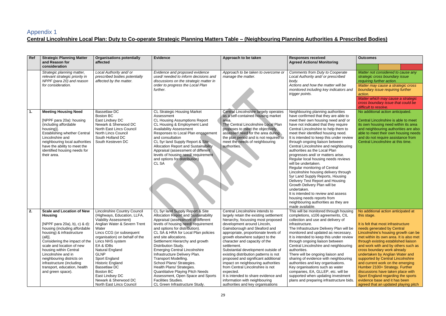## <span id="page-28-0"></span>Appendix 1

## **Central Lincolnshire Local Plan: Duty to Co-operate Strategic Planning Matters Table – (Neighbouring Planning Authorities & Prescribed Bodies)**

| Ref | <b>Strategic Planning Matter</b><br>and Reason for<br>consideration                                                                                                                                                                                                                                                                                                                       | <b>Organisations potentially</b><br>affected                                                                                                                                                                                                                                                                                                                                                                                        | <b>Evidence</b>                                                                                                                                                                                                                                                                                                                                                                                                                                                                                                                                                                                                             | Approach to be taken                                                                                                                                                                                                                                                                                                                                                                                                                                                                                                                                                                                                                  | <b>Responses received</b><br><b>Agreed Actions/ Monitoring</b>                                                                                                                                                                                                                                                                                                                                                                                                                                                                                                                                                                                                                                                                                                                                                                       | <b>Outcomes</b>                                                                                                                                                                                                                                                                                                                                                                                                                                                                                                                                                                                                            |
|-----|-------------------------------------------------------------------------------------------------------------------------------------------------------------------------------------------------------------------------------------------------------------------------------------------------------------------------------------------------------------------------------------------|-------------------------------------------------------------------------------------------------------------------------------------------------------------------------------------------------------------------------------------------------------------------------------------------------------------------------------------------------------------------------------------------------------------------------------------|-----------------------------------------------------------------------------------------------------------------------------------------------------------------------------------------------------------------------------------------------------------------------------------------------------------------------------------------------------------------------------------------------------------------------------------------------------------------------------------------------------------------------------------------------------------------------------------------------------------------------------|---------------------------------------------------------------------------------------------------------------------------------------------------------------------------------------------------------------------------------------------------------------------------------------------------------------------------------------------------------------------------------------------------------------------------------------------------------------------------------------------------------------------------------------------------------------------------------------------------------------------------------------|--------------------------------------------------------------------------------------------------------------------------------------------------------------------------------------------------------------------------------------------------------------------------------------------------------------------------------------------------------------------------------------------------------------------------------------------------------------------------------------------------------------------------------------------------------------------------------------------------------------------------------------------------------------------------------------------------------------------------------------------------------------------------------------------------------------------------------------|----------------------------------------------------------------------------------------------------------------------------------------------------------------------------------------------------------------------------------------------------------------------------------------------------------------------------------------------------------------------------------------------------------------------------------------------------------------------------------------------------------------------------------------------------------------------------------------------------------------------------|
|     | Strategic planning matter,<br>relevant strategic priority in<br>NPPF (para 20) and reason<br>for consideration.                                                                                                                                                                                                                                                                           | Local Authority and/ or<br>prescribed bodies potentially<br>affected by the matter.                                                                                                                                                                                                                                                                                                                                                 | Evidence and proposed evidence<br>used/needed to inform decisions and<br>discussions on the strategic matter in<br>order to progress the Local Plan<br>further.                                                                                                                                                                                                                                                                                                                                                                                                                                                             | Approach to be taken to overcome or<br>manage the matter.                                                                                                                                                                                                                                                                                                                                                                                                                                                                                                                                                                             | <b>Comments from Duty to Cooperate</b><br>Local Authority and/ or prescribed<br>body.<br>Actions and how the matter will be<br>monitored including key indicators and<br>trigger points.                                                                                                                                                                                                                                                                                                                                                                                                                                                                                                                                                                                                                                             | Matter not considered to cause any<br>strategic cross boundary issue<br>requiring further action.<br>Matter may cause a strategic cross<br>boundary issue requiring further<br>action.<br>Matter which may cause a strategic<br>cross boundary issue that could be<br>difficult to resolve.                                                                                                                                                                                                                                                                                                                                |
| 1.  | <b>Meeting Housing Need</b><br>[NPPF para 20a): housing<br>(including affordable<br>housing)].<br><b>Establishing whether Central</b><br>Lincolnshire and<br>neighbouring local authorities<br>have the ability to meet the<br>identified housing needs for<br>their area.                                                                                                                | <b>Bassetlaw DC</b><br><b>Boston BC</b><br>East Lindsey DC<br>Newark & Sherwood DC<br>North East Lincs Council<br><b>North Lincs Council</b><br>South Holland DC<br>South Kesteven DC                                                                                                                                                                                                                                               | <b>CL Strategic Housing Market</b><br>Assessment<br><b>CL Housing Assumptions Report</b><br>CL Housing & Employment Land<br><b>Availability Assessment</b><br>Responses to Local Plan engagement<br>and consultation<br>CL 5yr land Supply Report & Site<br><b>Allocation Report and Sustainability</b><br>Appraisal (assessment of different<br>levels of housing need/ requirement<br>and options for distribution)<br>CL SA                                                                                                                                                                                              | Central Lincolnshire largely operates<br>as a self-contained housing market<br>area.<br>The Central Lincolnshire Local Plan<br>proposes to meet the objectively<br>assessed need for the area during<br>the plan period and is not required to<br>meet the needs of neighbouring<br>authorities.                                                                                                                                                                                                                                                                                                                                      | Neighbouring planning authorities<br>have confirmed that they are able to<br>meet their own housing need and/ or<br>have not indicated that they require<br>Central Lincolnshire to help them to<br>meet their identified housing need.<br>It is intended to keep this under review<br>through ongoing liaison between<br>Central Lincolnshire and neighbouring<br>authorities as the Local Plan<br>progresses and/ or matters arise.<br>Regular local housing needs reviews<br>will be undertaken.<br>Regular monitoring of Central<br>Lincolnshire housing delivery through<br>5yr Land Supply Reports, Housing<br>Delivery Test Report and Housing<br>Growth Delivery Plan will be<br>undertaken.<br>It is intended to review and assess<br>housing needs reports from<br>neighbouring authorities as they are<br>made available. | No additional action anticipated.<br>Central Lincolnshire is able to meet<br>its own housing need within its area<br>and neighbouring authorities are also<br>able to meet their own housing needs<br>and do not require assistance from<br>Central Lincolnshire at this time.                                                                                                                                                                                                                                                                                                                                             |
| 2.  | <b>Scale and Location of New</b><br><b>Housing</b><br>[NPPF para 20a), b), c) & d):<br>housing (including affordable<br>housing) & infrastructure<br>(all).<br>Considering the impact of the<br>scale and location of new<br>housing within Central<br>Lincolnshire and in<br>neighbouring districts on<br>infrastructure (including<br>transport, education, health<br>and green space). | Lincolnshire Country Council<br>(Highways, Education, LLFA,<br>Viability Assessment)<br>Anglian Water & Severn Trent<br>Water<br>Lincs CCG (or subsequent<br>organisation) on behalf of the<br>Lincs NHS system<br>EA & IDBs<br><b>Natural England</b><br><b>GLNP</b><br>Sport England<br><b>Historic England</b><br><b>Bassetlaw DC</b><br><b>Boston BC</b><br>East Lindsey DC<br>Newark & Sherwood DC<br>North East Lincs Council | CL 5yr land Supply Report & Site<br><b>Allocation Report and Sustainability</b><br>Appraisal (assessment of different<br>levels of housing need/requirement<br>and options for distribution).<br>CL SA & HRA for Local Plan policies<br>and site allocations.<br>Settlement Hierarchy and growth<br>Distribution Study.<br><b>Emerging Central Lincolnshire</b><br>Infrastructure Delivery Plan.<br>Transport Modelling.<br>School Plans/ Strategies.<br>Health Plans/ Strategies.<br><b>Quantitative Playing Pitch Needs</b><br>Assessment, Open Space and Sports<br>Facilities Studies.<br>CL Green Infrastructure Study. | Central Lincolnshire intends to<br>largely retain the existing settlement<br>hierarchy, focussing most proposed<br>development around Lincoln,<br>Gainsborough and Sleaford and<br>appropriate, proportionate levels of<br>growth elsewhere subject to the<br>character and capacity of the<br>settlement.<br>Substantial development outside of<br>existing distribution patterns is not<br>proposed and significant additional<br>impact on neighbouring authorities<br>from Central Lincolnshire is not<br>expected.<br>It is intended to share evidence and<br>information with neighbouring<br>authorities and key organisations | This will be monitored through housing<br>completions, s106 agreements, CIL<br>collection and use and delivery of<br>infrastructure.<br>The Infrastructure Delivery Plan will be<br>monitored and updated as necessary.<br>It is intended to keep this under review<br>through ongoing liaison between<br>Central Lincolnshire and neighbouring<br>authorities.<br>There will be ongoing liaison and<br>sharing of evidence with neighbouring<br>authorities and key organisations.<br>Key organisations such as water<br>companies, EA, GLLEP, etc. will be<br>supported when updating investment<br>plans and preparing infrastructure bids.                                                                                                                                                                                       | No additional action anticipated at<br>this stage.<br>It is felt that most infrastructure<br>needs generated by Central<br>Lincolnshire's housing growth can be<br>met within its own area. It is also met<br>through existing established liaison<br>and work with and by others such as<br>cross boundary work already<br>undertaken by Anglian Water and<br>supported by Central Lincolnshire<br>and current work on the emerging<br>Humber 2100+ Strategy. Further<br>discussions have taken place with<br>Sport England regarding the sports<br>evidence base and it has been<br>agreed that an updated playing pitch |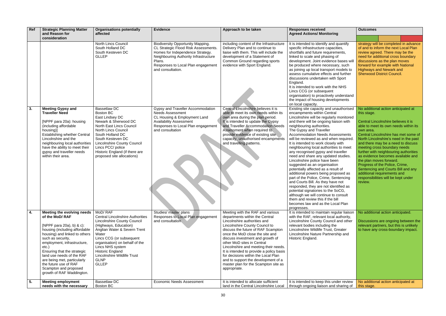| Ref | <b>Strategic Planning Matter</b><br>and Reason for                                                                                                                                                                                                                                                                                                                                           | <b>Organisations potentially</b><br>affected                                                                                                                                                                                                                                                                                          | <b>Evidence</b>                                                                                                                                                                                                                    | Approach to be taken                                                                                                                                                                                                                                                                                                                                                                                                                                                                                       | <b>Responses received</b><br><b>Agreed Actions/ Monitoring</b>                                                                                                                                                                                                                                                                                                                                                                                                                                                                                                                                                                                                                                                                                                                                                                                                                                                    | <b>Outcomes</b>                                                                                                                                                                                                                                                                                                                                                                                                                                                                                                                                                          |
|-----|----------------------------------------------------------------------------------------------------------------------------------------------------------------------------------------------------------------------------------------------------------------------------------------------------------------------------------------------------------------------------------------------|---------------------------------------------------------------------------------------------------------------------------------------------------------------------------------------------------------------------------------------------------------------------------------------------------------------------------------------|------------------------------------------------------------------------------------------------------------------------------------------------------------------------------------------------------------------------------------|------------------------------------------------------------------------------------------------------------------------------------------------------------------------------------------------------------------------------------------------------------------------------------------------------------------------------------------------------------------------------------------------------------------------------------------------------------------------------------------------------------|-------------------------------------------------------------------------------------------------------------------------------------------------------------------------------------------------------------------------------------------------------------------------------------------------------------------------------------------------------------------------------------------------------------------------------------------------------------------------------------------------------------------------------------------------------------------------------------------------------------------------------------------------------------------------------------------------------------------------------------------------------------------------------------------------------------------------------------------------------------------------------------------------------------------|--------------------------------------------------------------------------------------------------------------------------------------------------------------------------------------------------------------------------------------------------------------------------------------------------------------------------------------------------------------------------------------------------------------------------------------------------------------------------------------------------------------------------------------------------------------------------|
|     | consideration                                                                                                                                                                                                                                                                                                                                                                                |                                                                                                                                                                                                                                                                                                                                       |                                                                                                                                                                                                                                    |                                                                                                                                                                                                                                                                                                                                                                                                                                                                                                            |                                                                                                                                                                                                                                                                                                                                                                                                                                                                                                                                                                                                                                                                                                                                                                                                                                                                                                                   |                                                                                                                                                                                                                                                                                                                                                                                                                                                                                                                                                                          |
|     |                                                                                                                                                                                                                                                                                                                                                                                              | <b>North Lincs Council</b><br>South Holland DC<br>South Kesteven DC<br><b>GLLEP</b>                                                                                                                                                                                                                                                   | <b>Biodiversity Opportunity Mapping.</b><br>CL Strategic Flood Risk Assessments.<br>Homes for Independence Strategy.<br>Neighbouring Authority Infrastructure<br>Plans.<br>Responses to Local Plan engagement<br>and consultation. | including content of the Infrastructure<br>Delivery Plan and to continue to<br>liaise with them. This will include the<br>development of a Statement of<br>Common Ground regarding sports<br>evidence with Sport England.                                                                                                                                                                                                                                                                                  | It is intended to identify and quantify<br>specific infrastructure capacities,<br>shortfalls and future requirements,<br>linked to scale and phasing of<br>development. Joint evidence bases will<br>be produced where necessary, such<br>as joining up local transport models to<br>assess cumulative effects and further<br>discussions undertaken with Sport<br>England.<br>It is intended to work with the NHS<br>Lincs CCG (or subsequent<br>organisation) to proactively understand<br>the impact of housing developments<br>on local capacity.                                                                                                                                                                                                                                                                                                                                                             | strategy will be completed in advance<br>of and to inform the next Local Plan<br>review agreed. There may be the<br>need for additional cross boundary<br>discussions as the plan moves<br>forward for example with National<br><b>Highways and Newark and</b><br><b>Sherwood District Council.</b>                                                                                                                                                                                                                                                                      |
| 3.  | <b>Meeting Gypsy and</b><br><b>Traveller Need</b><br>[NPPF para 20a): housing<br>(including affordable<br>housing)]<br><b>Establishing whether Central</b><br>Lincolnshire and the<br>neighbouring local authorities<br>have the ability to meet their<br>gypsy and traveller needs<br>within their area.                                                                                    | <b>Bassetlaw DC</b><br><b>Boston BC</b><br>East Lindsey DC<br>Newark & Sherwood DC<br>North East Lincs Council<br><b>North Lincs Council</b><br>South Holland DC<br>South Kesteven DC<br><b>Lincolnshire County Council</b><br>Lincs PCC/ police<br>Historic England (if there are<br>proposed site allocations)                      | Gypsy and Traveller Accommodation<br><b>Needs Assessment</b><br>CL Housing & Employment Land<br><b>Availability Assessment</b><br>Responses to Local Plan engagement<br>and consultation                                           | Central Lincolnshire believes it is<br>able to meet its own needs within its<br>own area during the plan period.<br>It is intended to update the Gypsy<br>and Traveller Accommodation Needs<br>Assessment when required to<br>provide evidence of existing site<br>capacity, unauthorised encampments<br>and travelling patterns.                                                                                                                                                                          | Existing site capacity and unauthorised<br>encampments within Central<br>Lincolnshire will be regularly monitored<br>and there will be ongoing liaison with<br>neighbouring authorities.<br>The Gypsy and Traveller<br><b>Accommodation Needs Assessments</b><br>will be reviewed as and when required.<br>It is intended to work closely with<br>neighbouring local authorities to meet<br>any recognised gypsy and traveller<br>need and share any updated studies.<br>Lincolnshire police have been<br>suggested as an organisation<br>potentially affected as a result of<br>additional powers being proposed as<br>part of the Police, Crime, Sentencing<br>and Courts Bill. As they have not<br>responded, they are not identified as<br>potential signatories to the SoCG,<br>although we will continue to consult<br>them and review this if the bill<br>becomes law and as the Local Plan<br>progresses. | No additional action anticipated at<br>this stage.<br>Central Lincolnshire believes it is<br>able to meet its own needs within its<br>own area.<br>Central Lincolnshire has met some of<br>North Lincolnshire's need in the past<br>and there may be a need to discuss<br>meeting cross boundary needs<br>further with neighbouring authorities<br>as evidence becomes available and<br>the plan moves forward.<br>Progress of the Police, Crime,<br>Sentencing and Courts Bill and any<br>additional requirements and<br>responsibilities will be kept under<br>review. |
| 4.  | <b>Meeting the evolving needs</b><br>of the MoD/RAF<br>[NPPF para 20a), b) & c):<br>housing (including affordable<br>housing) and linked to others<br>such as security,<br>employment, infrastructure,<br>$etc.$ )<br>Ensuring that the strategic<br>land use needs of the RAF<br>are being met, particularly<br>the future use of RAF<br>Scampton and proposed<br>growth of RAF Waddington. | MoD/RAF<br><b>Central Lincolnshire Authorities</b><br>Lincolnshire County Council<br>(Highways, Education)<br>Anglian Water & Severn Trent<br>Water<br>Lincs CCG (or subsequent<br>organisation) on behalf of the<br>Lincs NHS system<br><b>Historic England</b><br><b>Lincolnshire Wildlife Trust</b><br><b>GLNP</b><br><b>GLLEP</b> | Studies/ master plans<br>Responses to Local Plan engagement<br>and consultation                                                                                                                                                    | Meeting with the RAF and various<br>departments within the Central<br>Lincolnshire authorities and<br>Lincolnshire County Council to<br>discuss the future of RAF Scampton<br>once the MoD close the site and<br>discuss investment and growth of<br>other MoD sites in Central<br>Lincolnshire and meeting their needs.<br>It is intended to provide a policy basis<br>for decisions within the Local Plan<br>and to support the development of a<br>master plan for the Scampton site as<br>appropriate. | It is intended to maintain regular liaison<br>with the RAF, relevant local authority,<br>Lincolnshire County Council and other<br>relevant bodies including the<br>Lincolnshire Wildlife Trust, Greater<br>Lincolnshire Nature Partnership and<br>Historic England.                                                                                                                                                                                                                                                                                                                                                                                                                                                                                                                                                                                                                                               | No additional action anticipated.<br>Discussions are ongoing between the<br>relevant partners, but this is unlikely<br>to have any cross-boundary impact.                                                                                                                                                                                                                                                                                                                                                                                                                |
| 5.  | <b>Meeting employment</b><br>needs with the necessary                                                                                                                                                                                                                                                                                                                                        | <b>Bassetlaw DC</b><br>Boston BC                                                                                                                                                                                                                                                                                                      | <b>Economic Needs Assessment</b>                                                                                                                                                                                                   | It is intended to allocate sufficient<br>land in the Central Lincolnshire Local                                                                                                                                                                                                                                                                                                                                                                                                                            | It is intended to keep this under review<br>through ongoing liaison and sharing of                                                                                                                                                                                                                                                                                                                                                                                                                                                                                                                                                                                                                                                                                                                                                                                                                                | No additional action anticipated at<br>this stage.                                                                                                                                                                                                                                                                                                                                                                                                                                                                                                                       |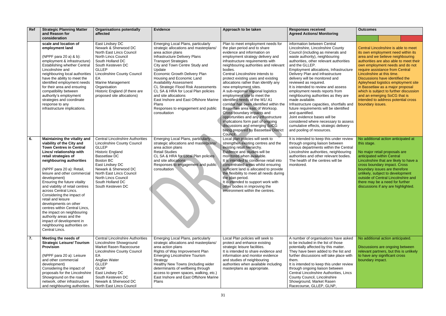| Ref | <b>Strategic Planning Matter</b><br>and Reason for                                                                                                                                                                                                                                                                                                                                                                                                                                                                                                                                                             | <b>Organisations potentially</b><br>affected                                                                                                                                                                                                                                                                       | <b>Evidence</b>                                                                                                                                                                                                                                                                                                                                                                                                                                                                                                                                  | Approach to be taken                                                                                                                                                                                                                                                                                                                                                                                                                                                                                                                                                                                                                                                                                                                                       | <b>Responses received</b><br><b>Agreed Actions/ Monitoring</b>                                                                                                                                                                                                                                                                                                                                                                                                                                                                                                                                                                                                                                                                             | <b>Outcomes</b>                                                                                                                                                                                                                                                                                                                                                                                                                                                                                                  |
|-----|----------------------------------------------------------------------------------------------------------------------------------------------------------------------------------------------------------------------------------------------------------------------------------------------------------------------------------------------------------------------------------------------------------------------------------------------------------------------------------------------------------------------------------------------------------------------------------------------------------------|--------------------------------------------------------------------------------------------------------------------------------------------------------------------------------------------------------------------------------------------------------------------------------------------------------------------|--------------------------------------------------------------------------------------------------------------------------------------------------------------------------------------------------------------------------------------------------------------------------------------------------------------------------------------------------------------------------------------------------------------------------------------------------------------------------------------------------------------------------------------------------|------------------------------------------------------------------------------------------------------------------------------------------------------------------------------------------------------------------------------------------------------------------------------------------------------------------------------------------------------------------------------------------------------------------------------------------------------------------------------------------------------------------------------------------------------------------------------------------------------------------------------------------------------------------------------------------------------------------------------------------------------------|--------------------------------------------------------------------------------------------------------------------------------------------------------------------------------------------------------------------------------------------------------------------------------------------------------------------------------------------------------------------------------------------------------------------------------------------------------------------------------------------------------------------------------------------------------------------------------------------------------------------------------------------------------------------------------------------------------------------------------------------|------------------------------------------------------------------------------------------------------------------------------------------------------------------------------------------------------------------------------------------------------------------------------------------------------------------------------------------------------------------------------------------------------------------------------------------------------------------------------------------------------------------|
|     | consideration                                                                                                                                                                                                                                                                                                                                                                                                                                                                                                                                                                                                  |                                                                                                                                                                                                                                                                                                                    |                                                                                                                                                                                                                                                                                                                                                                                                                                                                                                                                                  |                                                                                                                                                                                                                                                                                                                                                                                                                                                                                                                                                                                                                                                                                                                                                            |                                                                                                                                                                                                                                                                                                                                                                                                                                                                                                                                                                                                                                                                                                                                            |                                                                                                                                                                                                                                                                                                                                                                                                                                                                                                                  |
|     | scale and location of<br>employment land<br>(NPPF para 20 a) & b):<br>employment & infrastructure)<br><b>Establishing whether Central</b><br>Lincolnshire and<br>neighbouring local authorities<br>have the ability to meet the<br>identified employment needs<br>for their area and ensuring<br>compatibility between<br>authority's employment<br>strategies and coordinate<br>response to any<br>infrastructure implications.                                                                                                                                                                               | East Lindsey DC<br>Newark & Sherwood DC<br>North East Lincs Council<br><b>North Lincs Council</b><br>South Holland DC<br>South Kesteven DC<br><b>GLLEP</b><br><b>Lincolnshire County Council</b><br>EA<br><b>Marine Management</b><br>Organisation<br>Historic England (if there are<br>proposed site allocations) | <b>Emerging Local Plans, particularly</b><br>strategic allocations and masterplans/<br>area action plans<br>Infrastructure Delivery Plans<br><b>Transport Strategies</b><br>City and Town Centre Study and<br>Update<br><b>Economic Growth Delivery Plan</b><br>Housing and Economic Land<br><b>Availability Assessment</b><br><b>CL Strategic Flood Risk Assessments</b><br>CL SA & HRA for Local Plan policies<br>and site allocations<br>East Inshore and East Offshore Marine<br>Plans<br>Responses to engagement and public<br>consultation | Plan to meet employment needs for<br>the plan period and to share<br>evidence and information on<br>employment strategy delivery and<br>infrastructure requirements with<br>neighbouring authorities and relevant<br>bodies.<br>Central Lincolnshire intends to<br>protect existing uses and existing<br>allocations rather than identify any<br>new employment sites.<br>A sub-regional/ regional logistics<br>employment site to meet the<br>identified needs of the M1/A1<br>corridor has been identified within the<br>Bassetlaw area east of Worksop.<br>Cross boundary impacts and<br>opportunities and any infrastructure<br>implications form part of ongoing<br>discussions and emerging SoCG<br>being prepared by Bassetlaw District<br>Council. | information between Central<br>Lincolnshire, Lincolnshire County<br>Council (including as minerals and<br>waste authority), neighbouring<br>authorities, other relevant authorities<br>and the GLLEP.<br>Employment allocations, Infrastructure<br>Delivery Plan and infrastructure<br>delivery will be monitored and<br>reviewed as required.<br>It is intended to review and assess<br>employment needs reports from<br>neighbouring authorities as they are<br>made available.<br>Infrastructure capacities, shortfalls and<br>future requirements will be identified<br>and quantified.<br>Joint evidence bases will be<br>considered where necessary to assess<br>cumulative effects, strategic delivery<br>and pooling of resources. | Central Lincolnshire is able to meet<br>its own employment need within its<br>area and we believe neighbouring<br>authorities are also able to meet their<br>own employment needs and do not<br>require assistance from Central<br>Lincolnshire at this time.<br>Discussions have identified the<br>Apleyhead logistics employment site<br>in Bassetlaw as a major proposal<br>which is subject to further discussion<br>and an emerging SoCG that is<br>intended to address potential cross<br>boundary issues. |
| 6.  | <b>Maintaining the vitality and</b><br>viability of the City and<br><b>Town Centres in Central</b><br>Lincs/ relationship with<br>retail strategies of<br>neighbouring authorities<br>(NPPF para 20 a): Retail,<br>leisure and other commercial<br>development)<br>Ensuring the future vitality<br>and viability of retail centres<br>across Central Lincs.<br>Considering the impact of<br>retail and leisure<br>developments on other<br>centres within Central Lincs,<br>the impact on neighbouring<br>authority areas and the<br>impact of development in<br>neighbouring authorities on<br>Central Lincs. | <b>Central Lincolnshire Authorities</b><br><b>Lincolnshire County Council</b><br><b>GLLEP</b><br><b>Historic England</b><br><b>Bassetlaw DC</b><br><b>Boston BC</b><br>East Lindsey DC<br>Newark & Sherwood DC<br>North East Lincs Council<br><b>North Lincs Council</b><br>South Holland DC<br>South Kesteven DC  | Emerging Local Plans, particularly<br>strategic allocations and masterplans/<br>area action plans<br><b>Retail Studies</b><br>CL SA & HRA for Local Plan policies<br>and site allocations<br>Responses to engagement and public<br>consultation                                                                                                                                                                                                                                                                                                  | Local plan policies will seek to<br>strengthen existing centres and the<br>existing retail hierarchy.<br>Evidence and studies will be<br>monitored when available.<br>It is intended to condense retail into<br>concentrated areas whilst ensuring<br>sufficient land is allocated to provide<br>the flexibility to meet all needs during<br>the plan period.<br>It is intended to support work with<br>other bodies in improving the<br>environment within the centres.                                                                                                                                                                                                                                                                                   | It is intended to keep this under review<br>through ongoing liaison between<br>various departments within the Central<br>Lincolnshire authorities, neighbouring<br>authorities and other relevant bodies.<br>The health of the centres will be<br>monitored.                                                                                                                                                                                                                                                                                                                                                                                                                                                                               | No additional action anticipated at<br>this stage.<br>No major retail proposals are<br>anticipated within Central<br>Lincolnshire that are likely to have a<br>cross boundary impact. Cross<br>boundary issues are therefore<br>unlikely, subject to development<br>outside of Central Lincolnshire and<br>there may be a need for further<br>discussions if any are highlighted.                                                                                                                                |
| 7.  | Meeting the needs of<br><b>Strategic Leisure/ Tourism</b><br><b>Provision</b><br>(NPPF para 20 a): Leisure<br>and other commercial<br>development)<br>Considering the impact of<br>proposals for the Lincolnshire   East Lindsey DC<br>Showground on the road<br>network, other infrastructure<br>and neighbouring authorities.                                                                                                                                                                                                                                                                                | <b>Central Lincolnshire Authorities</b><br>Lincolnshire Showground<br>Market Rasen Racecourse<br><b>Lincolnshire County Council</b><br>EA<br>Anglian Water<br><b>GLLEP</b><br><b>GLNP</b><br>South Kesteven DC<br>Newark & Sherwood DC<br>North East Lincs Council                                                 | <b>Emerging Local Plans, particularly</b><br>strategic allocations and masterplans/<br>area action plans<br>Rights of Way Improvement Plan<br><b>Emerging Lincolnshire Tourism</b><br>Strategy<br>Healthy New Towns (including wider<br>determinants of wellbeing through<br>access to green spaces, walking, etc.)<br>East Inshore and East Offshore Marine<br>Plans                                                                                                                                                                            | Local Plan policies will seek to<br>protect and enhance existing<br>strategic leisure facilities.<br>It is intended to share evidence and<br>information and monitor evidence<br>and studies of neighbouring<br>authorities when available including<br>masterplans as appropriate.                                                                                                                                                                                                                                                                                                                                                                                                                                                                        | A number of organisations have asked<br>to be included in the list of those<br>potentially affected by this matter.<br>They have been added to the list and<br>further discussions will take place with<br>them.<br>It is intended to keep this under review<br>through ongoing liaison between<br>Central Lincolnshire Authorities, Lincs<br>County Council, Lincolnshire<br>Showground, Market Rasen<br>Racecourse, GLLEP, GLNP,                                                                                                                                                                                                                                                                                                         | No additional action anticipated.<br>Discussions are ongoing between<br>relevant partners, but this is unlikely<br>to have any significant cross<br>boundary impact.                                                                                                                                                                                                                                                                                                                                             |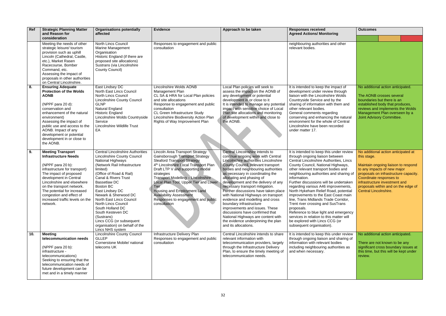| Ref | <b>Strategic Planning Matter</b><br>and Reason for                                                                                                                                                                                                                                                                                     | <b>Organisations potentially</b><br>affected                                                                                                                                                                                                                                                                                                                                                                                                                                               | <b>Evidence</b>                                                                                                                                                                                                                                                                                                                                                                                                               | Approach to be taken                                                                                                                                                                                                                                                                                                                                                                                                                                                                                                                                                                                                                                          | <b>Responses received</b><br><b>Agreed Actions/ Monitoring</b>                                                                                                                                                                                                                                                                                                                                                                                                                                                                                                                                                                                                                | <b>Outcomes</b>                                                                                                                                                                                                                                                                                      |
|-----|----------------------------------------------------------------------------------------------------------------------------------------------------------------------------------------------------------------------------------------------------------------------------------------------------------------------------------------|--------------------------------------------------------------------------------------------------------------------------------------------------------------------------------------------------------------------------------------------------------------------------------------------------------------------------------------------------------------------------------------------------------------------------------------------------------------------------------------------|-------------------------------------------------------------------------------------------------------------------------------------------------------------------------------------------------------------------------------------------------------------------------------------------------------------------------------------------------------------------------------------------------------------------------------|---------------------------------------------------------------------------------------------------------------------------------------------------------------------------------------------------------------------------------------------------------------------------------------------------------------------------------------------------------------------------------------------------------------------------------------------------------------------------------------------------------------------------------------------------------------------------------------------------------------------------------------------------------------|-------------------------------------------------------------------------------------------------------------------------------------------------------------------------------------------------------------------------------------------------------------------------------------------------------------------------------------------------------------------------------------------------------------------------------------------------------------------------------------------------------------------------------------------------------------------------------------------------------------------------------------------------------------------------------|------------------------------------------------------------------------------------------------------------------------------------------------------------------------------------------------------------------------------------------------------------------------------------------------------|
|     | consideration<br>Meeting the needs of other<br>strategic leisure/ tourism<br>provision such as uphill<br>Lincoln (Cathedral, Castle,<br>etc.), Market Rasen<br>Racecourse, Bomber<br>Command, etc.<br>Assessing the impact of<br>proposals in other authorities<br>on Central Lincolnshire.                                            | <b>North Lincs Council</b><br>Marine Management<br>Organisation<br>Historic England (if there are<br>proposed site allocations)<br>Sustrans (via Lincolnshire<br>County Council)                                                                                                                                                                                                                                                                                                           | Responses to engagement and public<br>consultation                                                                                                                                                                                                                                                                                                                                                                            |                                                                                                                                                                                                                                                                                                                                                                                                                                                                                                                                                                                                                                                               | neighbouring authorities and other<br>relevant bodies.                                                                                                                                                                                                                                                                                                                                                                                                                                                                                                                                                                                                                        |                                                                                                                                                                                                                                                                                                      |
| 8.  | <b>Ensuring Adequate</b><br><b>Protection of the Wolds</b><br><b>AONB</b><br>(NPPF para 20 d):<br>conservation and<br>enhancement of the natural<br>environment)<br>Assessing the impact of<br>public use and access to the<br>AONB. Impact of any<br>development or potential<br>development in or close to<br>the AONB.              | East Lindsey DC<br>North East Lincs Council<br><b>North Lincs Council</b><br><b>Lincolnshire County Council</b><br><b>GLNP</b><br>Natural England<br><b>Historic England</b><br>Lincolnshire Wolds Countryside<br>Service<br><b>Lincolnshire Wildlife Trust</b><br>EA                                                                                                                                                                                                                      | Lincolnshire Wolds AONB<br>Management Plan<br>CL SA & HRA for Local Plan policies<br>and site allocations<br>Response to engagement and public<br>consultation<br>CL Green Infrastructure Study<br>Lincolnshire Biodiversity Action Plan<br>Rights of Way Improvement Plan                                                                                                                                                    | Local Plan policies will seek to<br>assess the impact on the AONB of<br>any development or potential<br>development in or close to it<br>It is intended to manage any potential<br>impact with sensitive choice of Local<br>Plan site allocations and monitoring<br>of development within and close to<br>the AONB.                                                                                                                                                                                                                                                                                                                                           | It is intended to keep the impact of<br>development under review through<br>liaison with the Lincolnshire Wolds<br>Countryside Service and by the<br>sharing of information with them and<br>other relevant bodies.<br>General comments regarding<br>conserving and enhancing the natural<br>environment for the whole of Central<br>Lincolnshire have been recorded<br>under matter 17.                                                                                                                                                                                                                                                                                      | No additional action anticipated.<br>The AONB crosses several<br>boundaries but there is an<br>established body that produces,<br>reviews and implements the Wolds<br>Management Plan overseen by a<br>Joint Advisory Committee.                                                                     |
| 9.  | <b>Meeting Transport</b><br><b>Infrastructure Needs</b><br>(NPPF para 20 b):<br>infrastructure for transport)<br>The impact of proposed<br>development in Central<br>Lincolnshire and elsewhere<br>on the transport network.<br>The potential for increased<br>congestion and effect of<br>increased traffic levels on the<br>network. | <b>Central Lincolnshire Authorities</b><br><b>Lincolnshire County Council</b><br>National Highways<br>(Network Rail Infrastructure<br>limited)<br>(Office of Road & Rail)<br>Canal & Rivers Trust<br><b>Bassetlaw DC</b><br><b>Boston BC</b><br>East Lindsey DC<br>Newark & Sherwood DC<br>North East Lincs Council<br><b>North Lincs Council</b><br>South Holland DC<br>South Kesteven DC<br>(Sustrans)<br>Lincs CCG (or subsequent<br>organisation) on behalf of the<br>Lincs NHS system | Lincoln Area Transport Strategy<br>Gainsborough Transport Strategy<br><b>Sleaford Transport Strategy</b><br>4 <sup>th</sup> Lincolnshire Local Transport Plan<br>Draft LTP V and supporting modal<br>strategies<br>Transport Modelling - Lincolnshire<br>Local Plan Tool, Upper Tier and Lower<br>Tier<br>Housing and Employment Land<br><b>Availability Assessment</b><br>Responses to engagement and public<br>consultation | Central Lincolnshire intends to<br>continue ongoing work with Central<br>Lincolnshire authorities Lincolnshire<br>County Council, relevant transport<br>bodies and neighbouring authorities<br>as necessary in coordinating the<br>allocating and phasing of<br>development and the delivery of any<br>necessary transport mitigation.<br>Further discussions have taken place<br>with National Highways on transport<br>evidence and modelling and cross<br>boundary infrastructure<br>improvements and issues. These<br>discussions have confirmed that<br>National Highways are content with<br>the evidence underpinning the plan<br>and its allocations. | It is intended to keep this under review<br>through ongoing liaison between<br>Central Lincolnshire Authorities, Lincs<br>County Council, National Highways,<br>other relevant transport bodies and<br>neighbouring authorities and sharing of<br>information.<br>Further discussions will be undertaken<br>regarding various A46 improvements,<br>North Hykeham Relief Road, potential<br>improvements to the East Coast main<br>line, Trans Midlands Trade Corridor,<br>Trent river crossing and SusTrans<br>proposals.<br>Reference to blue light and emergency<br>services in relation to this matter will<br>be explored with Lincs CCG (or<br>subsequent organisation). | No additional action anticipated at<br>this stage.<br>Maintain ongoing liaison to respond<br>to any impacts of new major<br>proposals on infrastructure capacity.<br>Coordinate responses to<br>infrastructure investment and<br>proposals within and on the edge of<br><b>Central Lincolnshire.</b> |
| 10. | <b>Meeting</b><br>telecommunication needs<br>(NPPF para 20 b):<br>infrastructure -<br>telecommunications)<br>Seeking to ensuring that the<br>telecommunication needs of<br>future development can be<br>met and in a timely manner                                                                                                     | <b>Lincolnshire County Council</b><br><b>GLLEP</b><br>Cornerstone Mobile/ national<br>telecoms UK                                                                                                                                                                                                                                                                                                                                                                                          | Infrastructure Delivery Plan<br>Responses to engagement and public<br>consultation                                                                                                                                                                                                                                                                                                                                            | Central Lincolnshire intends to share<br>relevant information with<br>telecommunication providers, largely<br>through the Infrastructure Delivery<br>Plan, to ensure the timely meeting of<br>telecommunication needs.                                                                                                                                                                                                                                                                                                                                                                                                                                        | It is intended to keep this under review<br>through ongoing liaison and sharing of<br>information with relevant bodies<br>including neighbouring authorities as<br>and when necessary.                                                                                                                                                                                                                                                                                                                                                                                                                                                                                        | No additional action anticipated.<br>There are not known to be any<br>significant cross boundary issues at<br>this time, but this will be kept under<br>review.                                                                                                                                      |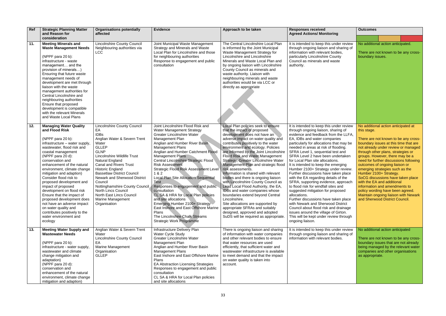| Ref | <b>Strategic Planning Matter</b><br>and Reason for                                                                                                                                                                                                                                                                                                                                                                                                                                                                                                                                         | <b>Organisations potentially</b><br>affected                                                                                                                                                                                                                                                                                                                                                                                                                                        | <b>Evidence</b>                                                                                                                                                                                                                                                                                                                                                                                                                                                                                                                                                                                                                                                                                                | Approach to be taken                                                                                                                                                                                                                                                                                                                                                                                                                                                                                                                                                                                                                                                                                                                                                                                              | <b>Responses received</b><br><b>Agreed Actions/ Monitoring</b>                                                                                                                                                                                                                                                                                                                                                                                                                                                                                                                                                                                                                                                                                                                                                                                                                          | <b>Outcomes</b>                                                                                                                                                                                                                                                                                                                                                                                                                                                                                                                                                                                                |
|-----|--------------------------------------------------------------------------------------------------------------------------------------------------------------------------------------------------------------------------------------------------------------------------------------------------------------------------------------------------------------------------------------------------------------------------------------------------------------------------------------------------------------------------------------------------------------------------------------------|-------------------------------------------------------------------------------------------------------------------------------------------------------------------------------------------------------------------------------------------------------------------------------------------------------------------------------------------------------------------------------------------------------------------------------------------------------------------------------------|----------------------------------------------------------------------------------------------------------------------------------------------------------------------------------------------------------------------------------------------------------------------------------------------------------------------------------------------------------------------------------------------------------------------------------------------------------------------------------------------------------------------------------------------------------------------------------------------------------------------------------------------------------------------------------------------------------------|-------------------------------------------------------------------------------------------------------------------------------------------------------------------------------------------------------------------------------------------------------------------------------------------------------------------------------------------------------------------------------------------------------------------------------------------------------------------------------------------------------------------------------------------------------------------------------------------------------------------------------------------------------------------------------------------------------------------------------------------------------------------------------------------------------------------|-----------------------------------------------------------------------------------------------------------------------------------------------------------------------------------------------------------------------------------------------------------------------------------------------------------------------------------------------------------------------------------------------------------------------------------------------------------------------------------------------------------------------------------------------------------------------------------------------------------------------------------------------------------------------------------------------------------------------------------------------------------------------------------------------------------------------------------------------------------------------------------------|----------------------------------------------------------------------------------------------------------------------------------------------------------------------------------------------------------------------------------------------------------------------------------------------------------------------------------------------------------------------------------------------------------------------------------------------------------------------------------------------------------------------------------------------------------------------------------------------------------------|
| 11. | consideration<br><b>Meeting Minerals and</b><br><b>Waste Management Needs</b><br>(NPPF para 20 b):<br>infrastructure - waste<br>management and the<br>provision of minerals)<br>Ensuring that future waste<br>management needs of<br>development are met through<br>liaison with the waste<br>management authorities for<br>Central Lincolnshire and<br>neighbouring authorities<br>Ensure that proposed<br>development is compatible<br>with the relevant Minerals<br>and Waste Local Plans                                                                                               | <b>Lincolnshire County Council</b><br>Neighbouring authorities via<br><b>LCC</b>                                                                                                                                                                                                                                                                                                                                                                                                    | Joint Municipal Waste Management<br>Strategy and Minerals and Waste<br>Local Plan for Lincolnshire and those<br>for neighbouring authorities<br>Response to engagement and public<br>consultation                                                                                                                                                                                                                                                                                                                                                                                                                                                                                                              | The Central Lincolnshire Local Plan<br>is informed by the Joint Municipal<br>Waste Management Strategy for<br>Lincolnshire and Lincolnshire<br>Minerals and Waste Local Plan and<br>by ongoing liaison with Lincolnshire<br>County Council as minerals and<br>waste authority. Liaison with<br>neighbouring minerals and waste<br>authorities would be via LCC or<br>directly as appropriate                                                                                                                                                                                                                                                                                                                                                                                                                      | It is intended to keep this under review<br>through ongoing liaison and sharing of<br>information with relevant bodies,<br>particularly Lincolnshire County<br>Council as minerals and waste<br>authority.                                                                                                                                                                                                                                                                                                                                                                                                                                                                                                                                                                                                                                                                              | No additional action anticipated.<br>There are not known to be any cross-<br>boundary issues.                                                                                                                                                                                                                                                                                                                                                                                                                                                                                                                  |
| 12. | <b>Managing Water Quality</b><br>and Flood Risk<br>(NPPF para 20 b):<br>infrastructure - water supply,<br>wastewater, flood risk and<br>coastal management<br>(NPPF para 20 d):<br>conservation and<br>enhancement of the natural<br>environment, climate change<br>mitigation and adaption)<br>Consider flood risk to<br>proposed development and<br>impact of proposed<br>development on flood risk<br>Ensure that the impact of<br>proposed development does<br>not have an adverse impact<br>on water quality and<br>contributes positively to the<br>water environment and<br>ecology | <b>Lincolnshire County Council</b><br>EA<br><b>IDBs</b><br>Anglian Water & Severn Trent<br>Water<br><b>GLLEP</b><br><b>GLNP</b><br><b>Lincolnshire Wildlife Trust</b><br>Natural England<br><b>Canal and Rivers Trust</b><br><b>Historic England</b><br><b>Bassetlaw District Council</b><br><b>Newark and Sherwood District</b><br>Council<br>Nottinghamshire County Council<br><b>North Lincs Council</b><br>North East Lincs Council<br><b>Marine Management</b><br>Organisation | Joint Lincolnshire Flood Risk and<br>Water Management Strategy<br><b>Greater Lincolnshire Water</b><br>Management Plan<br>Anglian and Humber River Basin<br><b>Management Plans</b><br>Anglian and Humber Catchment Flood<br><b>Management Plans</b><br>Central Lincolnshire Strategic Flood<br><b>Risk Assessment</b><br>Strategic Flood Risk Assessment Level<br>1 & 2<br>Local Plan Site Allocation Sequential<br><b>Test</b><br>Responses to engagement and public<br>consultation<br>CL SA & HRA for Local Plan policies<br>and site allocations<br>Emerging Humber 2100+ Strategy<br>East Inshore and East Offshore Marine<br>Plans<br>The Lincolnshire Chalk Streams<br><b>Strategic Work Programme</b> | Local Plan policies seek to ensure<br>that the impact of proposed<br>development does not have an<br>adverse impact on water quality and<br>contributes positively to the water<br>environment and ecology. Policies<br>are informed by the Joint Lincolnshire<br><b>Flood Risk and Water Management</b><br>Strategy, Greater Lincolnshire Water<br>Management Plan and strategic flood<br>risk assessments.<br>Information is shared with relevant<br>bodies and there is ongoing liaison<br>with Lincolnshire County Council as<br>Lead Local Flood Authority, the EA,<br>IDBs and water companies whose<br>boundaries extend beyond Central<br>Lincolnshire.<br>Site allocations are supported by<br>appropriate SFRAs and suitably<br>designed, approved and adopted<br>SuDS will be required as appropriate. | It is intended to keep this under review<br>through ongoing liaison, sharing of<br>evidence and feedback from the LLFA,<br>EA, IDBs and water companies<br>particularly for allocations that may be<br>needed in areas at risk of flooding.<br>SFRA Level 1, sequential test and<br>SFRA Level 2 have been undertaken<br>for Local Plan site allocations.<br>It is intended to keep the emerging<br>Humber 2100+ Strategy under review.<br>Further discussions have taken place<br>with the EA regarding details of the<br>SFRA, supporting evidence, approach<br>to flood risk for windfall sites and<br>suggested mitigation for proposed<br>allocations.<br>Further discussions have taken place<br>with Newark and Sherwood District<br>Council about flood risk and drainage<br>issues around the village of Girton.<br>This will be kept under review through<br>ongoing liaison. | No additional action anticipated at<br>this stage.<br>There are not known to be any cross-<br>boundary issues at this time that are<br>not already under review or managed<br>through other plans, strategies or<br>groups. However, there may be a<br>need for further discussions following<br>outcomes of ongoing liaison or<br>emerging strategies such as the<br>Humber 2100+ Strategy.<br>SoCG discussions have taken place<br>with the EA and additional<br>information and amendments to<br>policy wording have been agreed.<br>Maintain ongoing liaison with Newark<br>and Sherwood District Council. |
| 13. | <b>Meeting Water Supply and</b><br><b>Wastewater Needs</b><br>(NPPF para 20 b):<br>infrastructure - water supply,<br>wastewater and climate<br>change mitigation and<br>adaptation)<br>(NPPF para 20 d):<br>conservation and<br>enhancement of the natural<br>environment, climate change<br>mitigation and adaption)                                                                                                                                                                                                                                                                      | Anglian Water & Severn Trent<br>Water<br><b>Lincolnshire County Council</b><br>EA<br><b>Marine Management</b><br>Organisation<br><b>GLLEP</b>                                                                                                                                                                                                                                                                                                                                       | Infrastructure Delivery Plan<br>Water Cycle Study<br><b>Greater Lincolnshire Water</b><br>Management Plan<br>Anglian and Humber River Basin<br><b>Management Plans</b><br>East Inshore and East Offshore Marine<br>Plans<br><b>EA Abstraction Licensing Strategies</b><br>Responses to engagement and public<br>consultation<br>CL SA & HRA for Local Plan policies<br>and site allocations                                                                                                                                                                                                                                                                                                                    | There is ongoing liaison and sharing<br>of information with water companies<br>and other relevant bodies to ensure<br>that water resources are used<br>efficiently, that sufficient water and<br>wastewater infrastructure is available<br>to meet demand and that the impact<br>on water quality is taken into<br>account.                                                                                                                                                                                                                                                                                                                                                                                                                                                                                       | It is intended to keep this under review<br>through ongoing liaison and sharing of<br>information with relevant bodies.                                                                                                                                                                                                                                                                                                                                                                                                                                                                                                                                                                                                                                                                                                                                                                 | No additional action anticipated<br>There are not known to be any cross-<br>boundary issues that are not already<br>being managed by the relevant water<br>companies and other organisations<br>as appropriate.                                                                                                                                                                                                                                                                                                                                                                                                |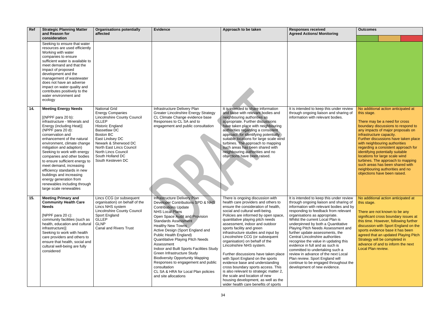| Ref | <b>Strategic Planning Matter</b><br>and Reason for                                                                                                                                                                                                                                                                                                                                                                                                                                                                         | <b>Organisations potentially</b><br>affected                                                                                                                                                                                                                                                                | <b>Evidence</b>                                                                                                                                                                                                                                                                                                                                                                                                                                                                                                                                                                          | Approach to be taken                                                                                                                                                                                                                                                                                                                                                                                                                                                                                                                                                                                                                                                                                                                                 | <b>Responses received</b><br><b>Agreed Actions/ Monitoring</b>                                                                                                                                                                                                                                                                                                                                                                                                                                                                                                                                                                                                 | <b>Outcomes</b>                                                                                                                                                                                                                                                                                                                                                                                                                                                                                                             |
|-----|----------------------------------------------------------------------------------------------------------------------------------------------------------------------------------------------------------------------------------------------------------------------------------------------------------------------------------------------------------------------------------------------------------------------------------------------------------------------------------------------------------------------------|-------------------------------------------------------------------------------------------------------------------------------------------------------------------------------------------------------------------------------------------------------------------------------------------------------------|------------------------------------------------------------------------------------------------------------------------------------------------------------------------------------------------------------------------------------------------------------------------------------------------------------------------------------------------------------------------------------------------------------------------------------------------------------------------------------------------------------------------------------------------------------------------------------------|------------------------------------------------------------------------------------------------------------------------------------------------------------------------------------------------------------------------------------------------------------------------------------------------------------------------------------------------------------------------------------------------------------------------------------------------------------------------------------------------------------------------------------------------------------------------------------------------------------------------------------------------------------------------------------------------------------------------------------------------------|----------------------------------------------------------------------------------------------------------------------------------------------------------------------------------------------------------------------------------------------------------------------------------------------------------------------------------------------------------------------------------------------------------------------------------------------------------------------------------------------------------------------------------------------------------------------------------------------------------------------------------------------------------------|-----------------------------------------------------------------------------------------------------------------------------------------------------------------------------------------------------------------------------------------------------------------------------------------------------------------------------------------------------------------------------------------------------------------------------------------------------------------------------------------------------------------------------|
|     | consideration<br>Seeking to ensure that water<br>resources are used efficiently<br>Working with water<br>companies to ensure<br>sufficient water is available to<br>meet demand and that the<br>impact of proposed<br>development and the<br>management of wastewater<br>does not have an adverse<br>impact on water quality and<br>contributes positively to the<br>water environment and<br>ecology                                                                                                                      |                                                                                                                                                                                                                                                                                                             |                                                                                                                                                                                                                                                                                                                                                                                                                                                                                                                                                                                          |                                                                                                                                                                                                                                                                                                                                                                                                                                                                                                                                                                                                                                                                                                                                                      |                                                                                                                                                                                                                                                                                                                                                                                                                                                                                                                                                                                                                                                                |                                                                                                                                                                                                                                                                                                                                                                                                                                                                                                                             |
| 14. | <b>Meeting Energy Needs</b><br>[(NPPPF para 20 b):<br>infrastructure - Minerals and<br>Energy (including Heat)]<br>(NPPF para 20 d):<br>conservation and<br>enhancement of the natural<br>environment, climate change<br>mitigation and adaption)<br>Seeking to work with energy<br>companies and other bodies<br>to ensure sufficient energy to<br>meet demand, increasing<br>efficiency standards in new<br>buildings and increasing<br>energy generation from<br>renewables including through<br>large scale renewables | <b>National Grid</b><br><b>Energy Companies</b><br><b>Lincolnshire County Council</b><br><b>GLLEP</b><br><b>Historic England</b><br>Bassetlaw DC<br>Boston BC<br>East Lindsey DC<br>Newark & Sherwood DC<br>North East Lincs Council<br><b>North Lincs Council</b><br>South Holland DC<br>South Kesteven DC | Infrastructure Delivery Plan<br><b>Greater Lincolnshire Energy Strategy</b><br>CL Climate Change evidence base<br>Responses to CL SA and to<br>engagement and public consultation                                                                                                                                                                                                                                                                                                                                                                                                        | It is intended to share information<br>and liaise with relevant bodies and<br>neighbouring authorities as<br>appropriate. Further discussions<br>have taken place with neighbouring<br>authorities regarding a consistent<br>approach for identifying potentially<br>suitable locations for large scale wind<br>turbines. The approach to mapping<br>such areas has been shared with<br>neighbouring authorities and no<br>objections have been raised.                                                                                                                                                                                                                                                                                              | It is intended to keep this under review<br>through ongoing liaison and sharing of<br>information with relevant bodies.                                                                                                                                                                                                                                                                                                                                                                                                                                                                                                                                        | No additional action anticipated at<br>this stage.<br>There may be a need for cross<br>boundary discussions to respond to<br>any impacts of major proposals on<br>infrastructure capacity.<br>Further discussions have taken place<br>with neighbouring authorities<br>regarding a consistent approach for<br>identifying potentially suitable<br>locations for large scale wind<br>turbines. The approach to mapping<br>such areas has been shared with<br>neighbouring authorities and no<br>objections have been raised. |
| 15. | <b>Meeting Primary and</b><br><b>Community Health Care</b><br><b>Needs</b><br>[NPPF para 20 c):<br>community facilities (such as<br>health, education and cultural<br>infrastructure)]<br>Seeking to work with health<br>care providers and others to<br>ensure that health, social and<br>cultural well-being are fully<br>considered                                                                                                                                                                                     | Lincs CCG (or subsequent<br>organisation) on behalf of the<br>Lincs NHS system<br><b>Lincolnshire County Council</b><br>Sport England<br><b>GLLEP</b><br>GLNP<br><b>Canal and Rivers Trust</b>                                                                                                              | <b>Infrastructure Delivery Plan</b><br>Developer Contributions SPD & NHS<br><b>Contributions Update</b><br><b>NHS Local Plans</b><br>Open Space Audit and Provision<br><b>Standards Assessment</b><br><b>Healthy New Towns</b><br>Active Design (Sport England and<br>Public Health England)<br>Quantitative Playing Pitch Needs<br>Assessment<br>Indoor and Built Sports Facilities Study<br>Green Infrastructure Study<br><b>Biodiversity Opportunity Mapping</b><br>Responses to engagement and public<br>consultation<br>CL SA & HRA for Local Plan policies<br>and site allocations | There is ongoing discussion with<br>health care providers and others to<br>ensure the consideration of health,<br>social and cultural well-being.<br>Policies are informed by open space,<br>quantitative playing pitch needs<br>assessment, indoor and outdoor<br>sports facility and green<br>infrastructure studies and input by<br>Lincolnshire CCG (or subsequent<br>organisation) on behalf of the<br>Lincolnshire NHS system.<br>Further discussions have taken place<br>with Sport England on the sports<br>evidence base and understanding<br>cross boundary sports access. This<br>is also relevant to strategic matter 2,<br>the scale and location of new<br>housing development, as well as the<br>wider health care benefits of sports | It is intended to keep this under review<br>through ongoing liaison and sharing of<br>information with relevant bodies and by<br>responding to feedback from relevant<br>organisations as appropriate.<br>Whilst the current Local Plan is<br>underpinned by both a Quantitative<br>Playing Pitch Needs Assessment and<br>further update assessments, the<br>Central Lincolnshire authorities<br>recognise the value in updating this<br>evidence in full and as such is<br>committed to undertaking such a<br>review in advance of the next Local<br>Plan review. Sport England will<br>continue to be engaged throughout the<br>development of new evidence. | No additional action anticipated at<br>this stage.<br>There are not known to be any<br>significant cross boundary issues at<br>this time. However, following further<br>discussion with Sport England on the<br>sports evidence base it has been<br>agreed that an updated Playing Pitch<br>Strategy will be completed in<br>advance of and to inform the next<br>Local Plan review.                                                                                                                                        |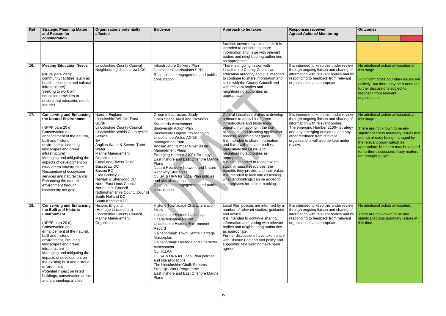| Ref | <b>Strategic Planning Matter</b><br>and Reason for                                                                                                                                                                                                                                                                                                                                                                                                              | <b>Organisations potentially</b><br>affected                                                                                                                                                                                                                                                                                                                                                                                                                                                            | <b>Evidence</b>                                                                                                                                                                                                                                                                                                                                                                                                                                                                                                                                                    | Approach to be taken                                                                                                                                                                                                                                                                                                                                                                                                                                                                                                                                                                                                 | <b>Responses received</b><br><b>Agreed Actions/ Monitoring</b>                                                                                                                                                                                                                         | <b>Outcomes</b>                                                                                                                                                                                                                                                                                              |
|-----|-----------------------------------------------------------------------------------------------------------------------------------------------------------------------------------------------------------------------------------------------------------------------------------------------------------------------------------------------------------------------------------------------------------------------------------------------------------------|---------------------------------------------------------------------------------------------------------------------------------------------------------------------------------------------------------------------------------------------------------------------------------------------------------------------------------------------------------------------------------------------------------------------------------------------------------------------------------------------------------|--------------------------------------------------------------------------------------------------------------------------------------------------------------------------------------------------------------------------------------------------------------------------------------------------------------------------------------------------------------------------------------------------------------------------------------------------------------------------------------------------------------------------------------------------------------------|----------------------------------------------------------------------------------------------------------------------------------------------------------------------------------------------------------------------------------------------------------------------------------------------------------------------------------------------------------------------------------------------------------------------------------------------------------------------------------------------------------------------------------------------------------------------------------------------------------------------|----------------------------------------------------------------------------------------------------------------------------------------------------------------------------------------------------------------------------------------------------------------------------------------|--------------------------------------------------------------------------------------------------------------------------------------------------------------------------------------------------------------------------------------------------------------------------------------------------------------|
|     | consideration                                                                                                                                                                                                                                                                                                                                                                                                                                                   |                                                                                                                                                                                                                                                                                                                                                                                                                                                                                                         |                                                                                                                                                                                                                                                                                                                                                                                                                                                                                                                                                                    |                                                                                                                                                                                                                                                                                                                                                                                                                                                                                                                                                                                                                      |                                                                                                                                                                                                                                                                                        |                                                                                                                                                                                                                                                                                                              |
|     |                                                                                                                                                                                                                                                                                                                                                                                                                                                                 |                                                                                                                                                                                                                                                                                                                                                                                                                                                                                                         |                                                                                                                                                                                                                                                                                                                                                                                                                                                                                                                                                                    | facilities covered by this matter. It is<br>intended to continue to share<br>information and liaise with relevant<br>bodies and neighbouring authorities<br>as appropriate.                                                                                                                                                                                                                                                                                                                                                                                                                                          |                                                                                                                                                                                                                                                                                        |                                                                                                                                                                                                                                                                                                              |
| 16. | <b>Meeting Education Needs</b><br>[NPPF para $20 c$ ]:<br>community facilities (such as<br>health, education and cultural<br>infrastructure)]<br>Seeking to work with<br>education providers to<br>ensure that education needs<br>are met.                                                                                                                                                                                                                      | <b>Lincolnshire County Council</b><br>Neighbouring districts via LCC                                                                                                                                                                                                                                                                                                                                                                                                                                    | Infrastructure Delivery Plan<br><b>Developer Contributions SPD</b><br>Responses to engagement and public<br>consultation                                                                                                                                                                                                                                                                                                                                                                                                                                           | There is ongoing liaison with<br>Lincolnshire County Council as<br>education authority and it is intended<br>to continue to share information and<br>liaise with the County Council and<br>with relevant bodies and<br>neighbouring authorities as<br>appropriate.                                                                                                                                                                                                                                                                                                                                                   | It is intended to keep this under review<br>through ongoing liaison and sharing of<br>information with relevant bodies and by<br>responding to feedback from relevant<br>organisations as appropriate.                                                                                 | No additional action anticipated at<br>this stage.<br>Significant cross boundary issues are<br>unlikely, but there may be a need for<br>further discussions subject to<br>feedback from relevant<br>organisations.                                                                                           |
| 17. | <b>Conserving and Enhancing</b><br>the Natural Environment<br>(NPPF para 20 d):<br>Conservation and<br>enhancement of the natural,<br>built and historic<br>environment, including<br>landscapes and green<br>infrastructure)<br>Managing and mitigating the<br>impacts of development on<br>blue/ green infrastructure.<br>Recognition of ecosystem<br>services and natural capital.<br>Enhancing the natural<br>environment through<br>biodiversity net gain. | Natural England<br><b>Lincolnshire Wildlife Trust</b><br><b>GLNP</b><br><b>Lincolnshire County Council</b><br>Lincolnshire Wolds Countryside<br>Service<br>EA<br>Anglian Water & Severn Trent<br>Water<br>Marine Management<br>Organisation<br><b>Canal and Rivers Trust</b><br><b>Bassetlaw DC</b><br><b>Boston BC</b><br>East Lindsey DC<br>Newark & Sherwood DC<br>North East Lincs Council<br><b>North Lincs Council</b><br>Nottinghamshire County Council<br>South Holland DC<br>South Kesteven DC | Green Infrastructure Study<br>Open Space Audit and Provision<br><b>Standards Assessment</b><br><b>Biodiversity Action Plan</b><br><b>Biodiversity Opportunity Mapping</b><br>Lincolnshire Wolds AONB<br>Management Plan<br>Anglian and Humber River Basin<br><b>Management Plans</b><br>Emerging Humber 2100+ Strategy<br>East Inshore and East Offshore Marine<br>Plans<br>Nature Recovery Network and Nature<br><b>Recovery Strategies</b><br>CL SA & HRA for Local Plan policies<br>and site allocations<br>Responses to engagement and public.<br>consultation | Central Lincolnshire aims to develop<br>a means to apply blue/ green<br>infrastructure and biodiversity<br>opportunity mapping in the site<br>allocations and planning application<br>process, recording net gains.<br>It is intended to share information<br>and liaise with relevant bodies,<br>particularly the GLNP and<br>neighbouring authorities as<br>appropriate.<br>It is also intended to recognise the<br>stock of natural resources, the<br>benefits they provide and their value.<br>It is intended to look into assessing<br>what landholdings can be added to<br>site registers for habitat banking. | It is intended to keep this under review<br>through ongoing liaison and sharing of<br>information with relevant bodies.<br>The emerging Humber 2100+ Strategy<br>and any emerging outcomes and any<br>other feedback from relevant<br>organisations will also be kept under<br>review. | No additional action anticipated at<br>this stage.<br>There are not known to be any<br>significant cross boundary issues that<br>are not already being managed by<br>the relevant organisation as<br>appropriate, but there may be a need<br>for further discussions if any matters<br>are brought to light. |
| 18. | <b>Conserving and Enhancing</b><br>the Built and Historic<br><b>Environment</b><br>(NPPF para 20 d):<br>Conservation and<br>enhancement of the natural,<br>built and historic<br>environment, including<br>landscapes and green<br>infrastructure<br>Managing and mitigating the<br>impacts of development on<br>the existing built and historic<br>environment<br>Potential impact on listed<br>buildings, conservation areas<br>and archaeological sites,     | <b>Historic England</b><br>(Heritage Lincolnshire)<br><b>Lincolnshire County Council</b><br>Marine Management<br>Organisation                                                                                                                                                                                                                                                                                                                                                                           | Historic Townscape Characterisation<br>Study<br>Lincolnshire Historic Landscape<br><b>Characterisation Report</b><br>Lincolnshire Historic Environment<br>Record<br>Gainsborough Town Centre Heritage<br>Masterplan<br>Gainsborough Heritage and Character<br>Assessment<br><b>CL HELAA</b><br>CL SA & HRA for Local Plan policies<br>and site allocations<br>The Lincolnshire Chalk Streams<br><b>Strategic Work Programme</b><br>East Inshore and East Offshore Marine<br>Plans                                                                                  | Local Plan policies are informed by a<br>number of relevant studies, guidance<br>and advice.<br>It is intended to continue sharing<br>information and liaising with relevant<br>bodies and neighbouring authorities<br>as appropriate.<br>Further discussions have taken place<br>with Historic England and policy and<br>supporting text wording have been<br>agreed.                                                                                                                                                                                                                                               | It is intended to keep this under review<br>through ongoing liaison and sharing of<br>information with relevant bodies and by<br>responding to feedback from relevant<br>organisations as appropriate.                                                                                 | No additional action anticipated.<br>There are not known to be any<br>significant cross boundary issues at<br>this time.                                                                                                                                                                                     |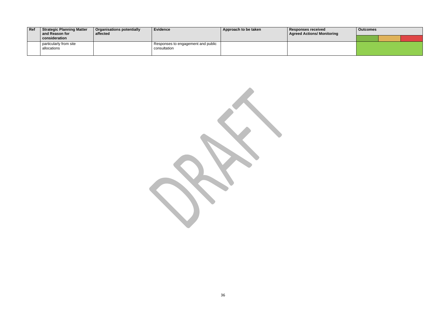| $ $ Ref | <b>Strategic Planning Matter</b><br>and Reason for | <b>Organisations potentially</b><br>affected | <b>Evidence</b>                                    | Approach to be taken | ∣ Responses received<br><b>Agreed Actions/ Monitoring</b> | <b>Outcomes</b> |  |
|---------|----------------------------------------------------|----------------------------------------------|----------------------------------------------------|----------------------|-----------------------------------------------------------|-----------------|--|
|         | consideration                                      |                                              |                                                    |                      |                                                           |                 |  |
|         | particularly from site<br>allocations              |                                              | Responses to engagement and public<br>consultation |                      |                                                           |                 |  |
|         |                                                    |                                              |                                                    |                      |                                                           |                 |  |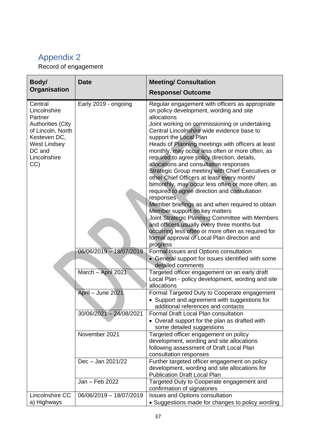## <span id="page-36-0"></span>Appendix 2

Record of engagement

| Body/                                                                                                                                                       | <b>Date</b>               | <b>Meeting/ Consultation</b>                                                                                                                                                                                                                                                                                                                                                                                                                                                                                                                                                                                                                                                                                                                                                                                                                                                                                                                                    |
|-------------------------------------------------------------------------------------------------------------------------------------------------------------|---------------------------|-----------------------------------------------------------------------------------------------------------------------------------------------------------------------------------------------------------------------------------------------------------------------------------------------------------------------------------------------------------------------------------------------------------------------------------------------------------------------------------------------------------------------------------------------------------------------------------------------------------------------------------------------------------------------------------------------------------------------------------------------------------------------------------------------------------------------------------------------------------------------------------------------------------------------------------------------------------------|
| Organisation                                                                                                                                                |                           | <b>Response/Outcome</b>                                                                                                                                                                                                                                                                                                                                                                                                                                                                                                                                                                                                                                                                                                                                                                                                                                                                                                                                         |
| Central<br>Lincolnshire<br>Partner<br><b>Authorities (City</b><br>of Lincoln, North<br>Kesteven DC,<br><b>West Lindsey</b><br>DC and<br>Lincolnshire<br>CC) | Early 2019 - ongoing      | Regular engagement with officers as appropriate<br>on policy development, wording and site<br>allocations<br>Joint working on commissioning or undertaking<br>Central Lincolnshire wide evidence base to<br>support the Local Plan<br>Heads of Planning meetings with officers at least<br>monthly, may occur less often or more often, as<br>required to agree policy direction, details,<br>allocations and consultation responses<br>Strategic Group meeting with Chief Executives or<br>other Chief Officers at least every month/<br>bimonthly, may occur less often or more often, as<br>required to agree direction and consultation<br>responses<br>Member briefings as and when required to obtain<br>Member support on key matters<br>Joint Strategic Planning Committee with Members<br>and officers usually every three months but<br>occurring less often or more often as required for<br>formal approval of Local Plan direction and<br>progress |
|                                                                                                                                                             | 06/06/2019 - 18/07/2019   | Formal Issues and Options consultation<br>• General support for issues identified with some<br>detailed comments                                                                                                                                                                                                                                                                                                                                                                                                                                                                                                                                                                                                                                                                                                                                                                                                                                                |
|                                                                                                                                                             | March - April 2021        | Targeted officer engagement on an early draft<br>Local Plan - policy development, wording and site<br>allocations                                                                                                                                                                                                                                                                                                                                                                                                                                                                                                                                                                                                                                                                                                                                                                                                                                               |
|                                                                                                                                                             | April - June 2021         | Formal Targeted Duty to Cooperate engagement<br>• Support and agreement with suggestions for<br>additional references and contacts                                                                                                                                                                                                                                                                                                                                                                                                                                                                                                                                                                                                                                                                                                                                                                                                                              |
|                                                                                                                                                             | $30/06/2021 - 24/08/2021$ | Formal Draft Local Plan consultation<br>• Overall support for the plan as drafted with<br>some detailed suggestions                                                                                                                                                                                                                                                                                                                                                                                                                                                                                                                                                                                                                                                                                                                                                                                                                                             |
|                                                                                                                                                             | November 2021             | Targeted officer engagement on policy<br>development, wording and site allocations<br>following assessment of Draft Local Plan<br>consultation responses                                                                                                                                                                                                                                                                                                                                                                                                                                                                                                                                                                                                                                                                                                                                                                                                        |
|                                                                                                                                                             | Dec - Jan 2021/22         | Further targeted officer engagement on policy<br>development, wording and site allocations for<br><b>Publication Draft Local Plan</b>                                                                                                                                                                                                                                                                                                                                                                                                                                                                                                                                                                                                                                                                                                                                                                                                                           |
|                                                                                                                                                             | Jan - Feb 2022            | Targeted Duty to Cooperate engagement and<br>confirmation of signatories                                                                                                                                                                                                                                                                                                                                                                                                                                                                                                                                                                                                                                                                                                                                                                                                                                                                                        |
| Lincolnshire CC<br>a) Highways                                                                                                                              | 06/06/2019 - 18/07/2019   | Issues and Options consultation<br>• Suggestions made for changes to policy wording                                                                                                                                                                                                                                                                                                                                                                                                                                                                                                                                                                                                                                                                                                                                                                                                                                                                             |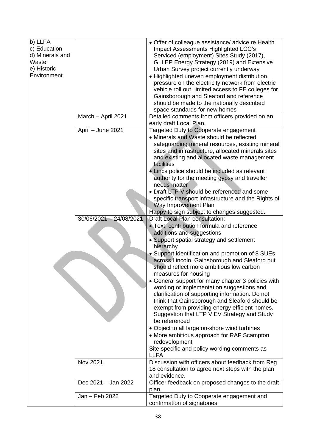| b) LLFA         |                         | • Offer of colleague assistance/ advice re Health                                            |
|-----------------|-------------------------|----------------------------------------------------------------------------------------------|
| c) Education    |                         | Impact Assessments Highlighted LCC's                                                         |
| d) Minerals and |                         | Serviced (employment) Sites Study (2017),                                                    |
| Waste           |                         | GLLEP Energy Strategy (2019) and Extensive                                                   |
| e) Historic     |                         | Urban Survey project currently underway                                                      |
| Environment     |                         | · Highlighted uneven employment distribution,                                                |
|                 |                         | pressure on the electricity network from electric                                            |
|                 |                         | vehicle roll out, limited access to FE colleges for                                          |
|                 |                         | Gainsborough and Sleaford and reference                                                      |
|                 |                         | should be made to the nationally described                                                   |
|                 |                         | space standards for new homes                                                                |
|                 | March - April 2021      | Detailed comments from officers provided on an                                               |
|                 |                         | early draft Local Plan.                                                                      |
|                 | April - June 2021       | Targeted Duty to Cooperate engagement                                                        |
|                 |                         | • Minerals and Waste should be reflected;                                                    |
|                 |                         | safeguarding mineral resources, existing mineral                                             |
|                 |                         | sites and infrastructure, allocated minerals sites                                           |
|                 |                         | and existing and allocated waste management                                                  |
|                 |                         | facilities                                                                                   |
|                 |                         | • Lincs police should be included as relevant                                                |
|                 |                         | authority for the meeting gypsy and traveller                                                |
|                 |                         | needs matter                                                                                 |
|                 |                         | • Draft LTP V should be referenced and some                                                  |
|                 |                         | specific transport infrastructure and the Rights of                                          |
|                 |                         | Way Improvement Plan                                                                         |
|                 |                         | Happy to sign subject to changes suggested.                                                  |
|                 | 30/06/2021 - 24/08/2021 | Draft Local Plan consultation:                                                               |
|                 |                         | • Text, contribution formula and reference                                                   |
|                 |                         | additions and suggestions                                                                    |
|                 |                         | • Support spatial strategy and settlement                                                    |
|                 |                         | hierarchy                                                                                    |
|                 |                         | • Support identification and promotion of 8 SUEs                                             |
|                 |                         | across Lincoln, Gainsborough and Sleaford but                                                |
|                 |                         | should reflect more ambitious low carbon                                                     |
|                 |                         | measures for housing                                                                         |
|                 |                         | • General support for many chapter 3 policies with                                           |
|                 |                         | wording or implementation suggestions and                                                    |
|                 |                         | clarification of supporting information. Do not                                              |
|                 |                         | think that Gainsborough and Sleaford should be                                               |
|                 |                         |                                                                                              |
|                 |                         | exempt from providing energy efficient homes.<br>Suggestion that LTP V EV Strategy and Study |
|                 |                         | be referenced                                                                                |
|                 |                         |                                                                                              |
|                 |                         | • Object to all large on-shore wind turbines                                                 |
|                 |                         | • More ambitious approach for RAF Scampton                                                   |
|                 |                         | redevelopment                                                                                |
|                 |                         | Site specific and policy wording comments as<br><b>LLFA</b>                                  |
|                 | Nov 2021                | Discussion with officers about feedback from Reg                                             |
|                 |                         | 18 consultation to agree next steps with the plan                                            |
|                 |                         | and evidence.                                                                                |
|                 | Dec 2021 - Jan 2022     | Officer feedback on proposed changes to the draft                                            |
|                 |                         | plan                                                                                         |
|                 | Jan - Feb 2022          | Targeted Duty to Cooperate engagement and                                                    |
|                 |                         | confirmation of signatories                                                                  |
|                 |                         |                                                                                              |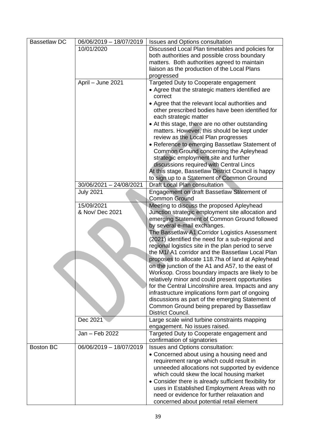| <b>Bassetlaw DC</b> | 06/06/2019 - 18/07/2019 | <b>Issues and Options consultation</b>                                    |
|---------------------|-------------------------|---------------------------------------------------------------------------|
|                     | 10/01/2020              | Discussed Local Plan timetables and policies for                          |
|                     |                         | both authorities and possible cross boundary                              |
|                     |                         | matters. Both authorities agreed to maintain                              |
|                     |                         | liaison as the production of the Local Plans                              |
|                     |                         | progressed                                                                |
|                     | April - June 2021       | Targeted Duty to Cooperate engagement                                     |
|                     |                         | • Agree that the strategic matters identified are                         |
|                     |                         | correct                                                                   |
|                     |                         | • Agree that the relevant local authorities and                           |
|                     |                         | other prescribed bodies have been identified for<br>each strategic matter |
|                     |                         | • At this stage, there are no other outstanding                           |
|                     |                         | matters. However, this should be kept under                               |
|                     |                         | review as the Local Plan progresses                                       |
|                     |                         | • Reference to emerging Bassetlaw Statement of                            |
|                     |                         | Common Ground concerning the Apleyhead                                    |
|                     |                         | strategic employment site and further                                     |
|                     |                         | discussions required with Central Lincs                                   |
|                     |                         | At this stage, Bassetlaw District Council is happy                        |
|                     |                         | to sign up to a Statement of Common Ground                                |
|                     | 30/06/2021 - 24/08/2021 | Draft Local Plan consultation                                             |
|                     | <b>July 2021</b>        | Engagement on draft Bassetlaw Statement of                                |
|                     |                         | <b>Common Ground</b>                                                      |
|                     | 15/09/2021              | Meeting to discuss the proposed Apleyhead                                 |
|                     | & Nov/ Dec 2021         | Junction strategic employment site allocation and                         |
|                     |                         | emerging Statement of Common Ground followed                              |
|                     |                         | by several e-mail exchanges.                                              |
|                     |                         | The Bassetlaw A1 Corridor Logistics Assessment                            |
|                     |                         | (2021) identified the need for a sub-regional and                         |
|                     |                         | regional logistics site in the plan period to serve                       |
|                     |                         | the M1/A1 corridor and the Bassetlaw Local Plan                           |
|                     |                         | proposes to allocate 118.7ha of land at Apleyhead                         |
|                     |                         | on the junction of the A1 and A57, to the east of                         |
|                     |                         | Worksop. Cross boundary impacts are likely to be                          |
|                     |                         | relatively minor and could present opportunities                          |
|                     |                         | for the Central Lincolnshire area. Impacts and any                        |
|                     |                         | infrastructure implications form part of ongoing                          |
|                     |                         | discussions as part of the emerging Statement of                          |
|                     |                         | Common Ground being prepared by Bassetlaw                                 |
|                     |                         | District Council.                                                         |
|                     | Dec 2021                | Large scale wind turbine constraints mapping                              |
|                     |                         | engagement. No issues raised.                                             |
|                     | Jan - Feb 2022          | Targeted Duty to Cooperate engagement and                                 |
|                     |                         | confirmation of signatories                                               |
| <b>Boston BC</b>    | 06/06/2019 - 18/07/2019 | Issues and Options consultation:                                          |
|                     |                         | • Concerned about using a housing need and                                |
|                     |                         | requirement range which could result in                                   |
|                     |                         | unneeded allocations not supported by evidence                            |
|                     |                         | which could skew the local housing market                                 |
|                     |                         | • Consider there is already sufficient flexibility for                    |
|                     |                         | uses in Established Employment Areas with no                              |
|                     |                         | need or evidence for further relaxation and                               |
|                     |                         | concerned about potential retail element                                  |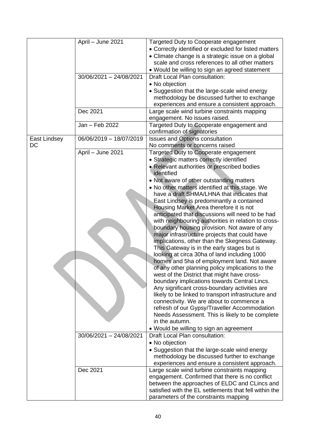|              | April - June 2021       | Targeted Duty to Cooperate engagement                                                                   |
|--------------|-------------------------|---------------------------------------------------------------------------------------------------------|
|              |                         | • Correctly identified or excluded for listed matters                                                   |
|              |                         | • Climate change is a strategic issue on a global                                                       |
|              |                         | scale and cross references to all other matters                                                         |
|              |                         | • Would be willing to sign an agreed statement                                                          |
|              | 30/06/2021 - 24/08/2021 | Draft Local Plan consultation:                                                                          |
|              |                         | • No objection                                                                                          |
|              |                         | • Suggestion that the large-scale wind energy                                                           |
|              |                         | methodology be discussed further to exchange                                                            |
|              |                         | experiences and ensure a consistent approach.                                                           |
|              | Dec 2021                | Large scale wind turbine constraints mapping                                                            |
|              |                         | engagement. No issues raised.                                                                           |
|              | Jan - Feb 2022          | Targeted Duty to Cooperate engagement and                                                               |
|              |                         | confirmation of signatories                                                                             |
| East Lindsey | 06/06/2019 - 18/07/2019 | <b>Issues and Options consultation</b>                                                                  |
| DC           |                         | No comments or concerns raised                                                                          |
|              | April - June 2021       | Targeted Duty to Cooperate engagement                                                                   |
|              |                         | • Strategic matters correctly identified                                                                |
|              |                         | • Relevant authorities or prescribed bodies                                                             |
|              |                         | identified                                                                                              |
|              |                         | • Not aware of other outstanding matters                                                                |
|              |                         | . No other matters identified at this stage. We                                                         |
|              |                         | have a draft SHMA/LHNA that indicates that                                                              |
|              |                         | East Lindsey is predominantly a contained                                                               |
|              |                         | Housing Market Area therefore it is not                                                                 |
|              |                         | anticipated that discussions will need to be had                                                        |
|              |                         | with neighbouring authorities in relation to cross-                                                     |
|              |                         | boundary housing provision. Not aware of any                                                            |
|              |                         | major infrastructure projects that could have                                                           |
|              |                         | implications, other than the Skegness Gateway.                                                          |
|              |                         | This Gateway is in the early stages but is                                                              |
|              |                         | looking at circa 30ha of land including 1000                                                            |
|              |                         | homes and 5ha of employment land. Not aware                                                             |
|              |                         | of any other planning policy implications to the                                                        |
|              |                         | west of the District that might have cross-                                                             |
|              |                         | boundary implications towards Central Lincs.                                                            |
|              |                         | Any significant cross-boundary activities are                                                           |
|              |                         | likely to be linked to transport infrastructure and                                                     |
|              |                         | connectivity. We are about to commence a                                                                |
|              |                         | refresh of our Gypsy/Traveller Accommodation                                                            |
|              |                         | Needs Assessment. This is likely to be complete<br>in the autumn.                                       |
|              |                         |                                                                                                         |
|              | 30/06/2021 - 24/08/2021 | • Would be willing to sign an agreement<br>Draft Local Plan consultation:                               |
|              |                         |                                                                                                         |
|              |                         | • No objection                                                                                          |
|              |                         | • Suggestion that the large-scale wind energy                                                           |
|              |                         | methodology be discussed further to exchange                                                            |
|              |                         | experiences and ensure a consistent approach.                                                           |
|              | Dec 2021                | Large scale wind turbine constraints mapping                                                            |
|              |                         | engagement. Confirmed that there is no conflict                                                         |
|              |                         | between the approaches of ELDC and CLincs and<br>satisfied with the EL settlements that fell within the |
|              |                         |                                                                                                         |
|              |                         | parameters of the constraints mapping                                                                   |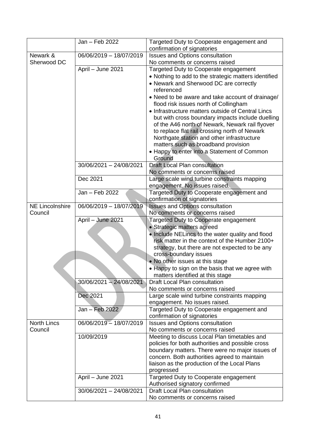|                        | Jan - Feb 2022            | Targeted Duty to Cooperate engagement and                                                           |
|------------------------|---------------------------|-----------------------------------------------------------------------------------------------------|
|                        |                           | confirmation of signatories                                                                         |
| Newark &               | 06/06/2019 - 18/07/2019   | <b>Issues and Options consultation</b>                                                              |
| Sherwood DC            |                           | No comments or concerns raised                                                                      |
|                        | April - June 2021         | Targeted Duty to Cooperate engagement                                                               |
|                        |                           | • Nothing to add to the strategic matters identified                                                |
|                        |                           | • Newark and Sherwood DC are correctly                                                              |
|                        |                           | referenced                                                                                          |
|                        |                           | • Need to be aware and take account of drainage/                                                    |
|                        |                           | flood risk issues north of Collingham                                                               |
|                        |                           | • Infrastructure matters outside of Central Lincs                                                   |
|                        |                           | but with cross boundary impacts include duelling                                                    |
|                        |                           | of the A46 north of Newark, Newark rail flyover                                                     |
|                        |                           | to replace flat rail crossing north of Newark                                                       |
|                        |                           | Northgate station and other infrastructure                                                          |
|                        |                           | matters such as broadband provision                                                                 |
|                        |                           | • Happy to enter into a Statement of Common                                                         |
|                        |                           | Ground                                                                                              |
|                        | 30/06/2021 - 24/08/2021   | <b>Draft Local Plan consultation</b>                                                                |
|                        | Dec 2021                  | No comments or concerns raised                                                                      |
|                        |                           | Large scale wind turbine constraints mapping<br>engagement. No issues raised.                       |
|                        | Jan - Feb 2022            |                                                                                                     |
|                        |                           | Targeted Duty to Cooperate engagement and<br>confirmation of signatories                            |
| <b>NE Lincolnshire</b> | 06/06/2019 - 18/07/2019   | <b>Issues and Options consultation</b>                                                              |
| Council                |                           | No comments or concerns raised                                                                      |
|                        | April - June 2021         | Targeted Duty to Cooperate engagement                                                               |
|                        |                           | • Strategic matters agreed                                                                          |
|                        |                           | . Include NELincs to the water quality and flood                                                    |
|                        |                           | risk matter in the context of the Humber 2100+                                                      |
|                        |                           | strategy, but there are not expected to be any                                                      |
|                        |                           | cross-boundary issues                                                                               |
|                        |                           | . No other issues at this stage                                                                     |
|                        |                           | • Happy to sign on the basis that we agree with                                                     |
|                        |                           | matters identified at this stage                                                                    |
|                        | $30/06/2021 - 24/08/2021$ | <b>Draft Local Plan consultation</b>                                                                |
|                        |                           | No comments or concerns raised                                                                      |
|                        | Dec 2021                  | Large scale wind turbine constraints mapping                                                        |
|                        |                           | engagement. No issues raised.                                                                       |
|                        | Jan - Feb 2022            | Targeted Duty to Cooperate engagement and                                                           |
|                        |                           | confirmation of signatories                                                                         |
| <b>North Lincs</b>     | 06/06/2019 - 18/07/2019   | <b>Issues and Options consultation</b>                                                              |
| Council                |                           | No comments or concerns raised                                                                      |
|                        | 10/09/2019                | Meeting to discuss Local Plan timetables and                                                        |
|                        |                           | policies for both authorities and possible cross<br>boundary matters. There were no major issues of |
|                        |                           | concern. Both authorities agreed to maintain                                                        |
|                        |                           | liaison as the production of the Local Plans                                                        |
|                        |                           | progressed                                                                                          |
|                        | April - June 2021         | Targeted Duty to Cooperate engagement                                                               |
|                        |                           | Authorised signatory confirmed                                                                      |
|                        | 30/06/2021 - 24/08/2021   | Draft Local Plan consultation                                                                       |
|                        |                           | No comments or concerns raised                                                                      |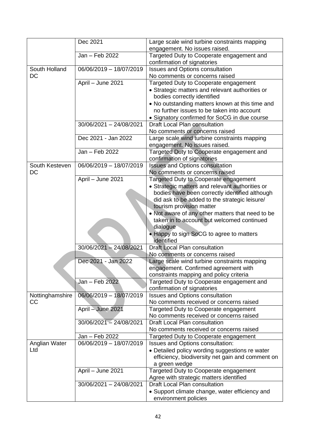|                 | Dec 2021                | Large scale wind turbine constraints mapping                             |
|-----------------|-------------------------|--------------------------------------------------------------------------|
|                 |                         | engagement. No issues raised.                                            |
|                 | Jan - Feb 2022          | Targeted Duty to Cooperate engagement and<br>confirmation of signatories |
| South Holland   | 06/06/2019 - 18/07/2019 | <b>Issues and Options consultation</b>                                   |
| DC              |                         | No comments or concerns raised                                           |
|                 | April - June 2021       | Targeted Duty to Cooperate engagement                                    |
|                 |                         | • Strategic matters and relevant authorities or                          |
|                 |                         | bodies correctly identified                                              |
|                 |                         | • No outstanding matters known at this time and                          |
|                 |                         | no further issues to be taken into account                               |
|                 |                         | • Signatory confirmed for SoCG in due course                             |
|                 | 30/06/2021 - 24/08/2021 | Draft Local Plan consultation                                            |
|                 |                         | No comments or concerns raised                                           |
|                 | Dec 2021 - Jan 2022     | Large scale wind turbine constraints mapping                             |
|                 |                         | engagement. No issues raised.                                            |
|                 | Jan - Feb 2022          | Targeted Duty to Cooperate engagement and                                |
|                 |                         | confirmation of signatories                                              |
| South Kesteven  | 06/06/2019 - 18/07/2019 | <b>Issues and Options consultation</b>                                   |
| <b>DC</b>       |                         | No comments or concerns raised                                           |
|                 | April - June 2021       | Targeted Duty to Cooperate engagement                                    |
|                 |                         | • Strategic matters and relevant authorities or                          |
|                 |                         | bodies have been correctly identified although                           |
|                 |                         | did ask to be added to the strategic leisure/                            |
|                 |                         | tourism provision matter                                                 |
|                 |                         | • Not aware of any other matters that need to be                         |
|                 |                         | taken in to account but welcomed continued                               |
|                 |                         | dialogue                                                                 |
|                 |                         | • Happy to sign SoCG to agree to matters<br>identified                   |
|                 | 30/06/2021 - 24/08/2021 | Draft Local Plan consultation                                            |
|                 |                         | No comments or concerns raised                                           |
|                 | Dec 2021 - Jan 2022     | Large scale wind turbine constraints mapping                             |
|                 |                         | engagement. Confirmed agreement with                                     |
|                 |                         | constraints mapping and policy criteria                                  |
|                 | Jan – Feb 2022          | Targeted Duty to Cooperate engagement and                                |
|                 |                         | confirmation of signatories                                              |
| Nottinghamshire | 06/06/2019 - 18/07/2019 | Issues and Options consultation                                          |
| CC              |                         | No comments received or concerns raised                                  |
|                 | April - June 2021       | Targeted Duty to Cooperate engagement                                    |
|                 |                         | No comments received or concerns raised                                  |
|                 | 30/06/2021 - 24/08/2021 | Draft Local Plan consultation                                            |
|                 |                         | No comments received or concerns raised                                  |
|                 | Jan - Feb 2022          | Targeted Duty to Cooperate engagement                                    |
| Anglian Water   | 06/06/2019 - 18/07/2019 | Issues and Options consultation:                                         |
| Ltd             |                         | • Detailed policy wording suggestions re water                           |
|                 |                         | efficiency, biodiversity net gain and comment on                         |
|                 |                         | a green wedge                                                            |
|                 | April - June 2021       | Targeted Duty to Cooperate engagement                                    |
|                 |                         | Agree with strategic matters identified                                  |
|                 | 30/06/2021 - 24/08/2021 | Draft Local Plan consultation                                            |
|                 |                         | • Support climate change, water efficiency and                           |
|                 |                         | environment policies                                                     |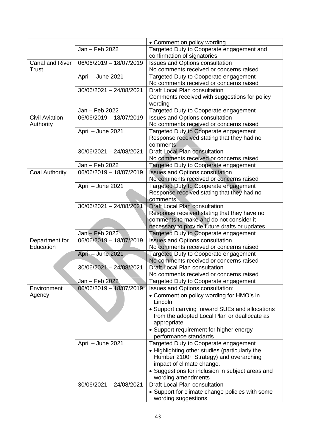|                        |                         | • Comment on policy wording                         |
|------------------------|-------------------------|-----------------------------------------------------|
|                        | Jan - Feb 2022          | Targeted Duty to Cooperate engagement and           |
|                        |                         | confirmation of signatories                         |
| <b>Canal and River</b> | 06/06/2019 - 18/07/2019 | Issues and Options consultation                     |
| Trust                  |                         | No comments received or concerns raised             |
|                        | April - June 2021       | Targeted Duty to Cooperate engagement               |
|                        |                         | No comments received or concerns raised             |
|                        | 30/06/2021 - 24/08/2021 | Draft Local Plan consultation                       |
|                        |                         | Comments received with suggestions for policy       |
|                        |                         | wording                                             |
|                        | Jan - Feb 2022          | Targeted Duty to Cooperate engagement               |
| <b>Civil Aviation</b>  | 06/06/2019 - 18/07/2019 | <b>Issues and Options consultation</b>              |
| Authority              |                         | No comments received or concerns raised             |
|                        | April - June 2021       | Targeted Duty to Cooperate engagement               |
|                        |                         | Response received stating that they had no          |
|                        |                         | comments                                            |
|                        | 30/06/2021 - 24/08/2021 | Draft Local Plan consultation                       |
|                        |                         | No comments received or concerns raised             |
|                        | Jan - Feb 2022          |                                                     |
|                        |                         | Targeted Duty to Cooperate engagement               |
| <b>Coal Authority</b>  | 06/06/2019 - 18/07/2019 | <b>Issues and Options consultation</b>              |
|                        |                         | No comments received or concerns raised             |
|                        | April - June 2021       | Targeted Duty to Cooperate engagement               |
|                        |                         | Response received stating that they had no          |
|                        |                         | comments                                            |
|                        | 30/06/2021 - 24/08/2021 | <b>Draft Local Plan consultation</b>                |
|                        |                         | Response received stating that they have no         |
|                        |                         | comments to make and do not consider it             |
|                        |                         | necessary to provide future drafts or updates       |
|                        | Jan - Feb 2022          | Targeted Duty to Cooperate engagement               |
| Department for         | 06/06/2019 - 18/07/2019 | <b>Issues and Options consultation</b>              |
| Education              |                         | No comments received or concerns raised             |
|                        | April - June 2021       | Targeted Duty to Cooperate engagement               |
|                        |                         | No comments received or concerns raised             |
|                        | 30/06/2021 - 24/08/2021 | <b>Draft Local Plan consultation</b>                |
|                        |                         | No comments received or concerns raised             |
|                        | Jan - Feb 2022          | Targeted Duty to Cooperate engagement               |
| Environment            | 06/06/2019 - 18/07/2019 | Issues and Options consultation:                    |
| Agency                 |                         | • Comment on policy wording for HMO's in            |
|                        |                         | Lincoln                                             |
|                        |                         | • Support carrying forward SUEs and allocations     |
|                        |                         | from the adopted Local Plan or deallocate as        |
|                        |                         | appropriate                                         |
|                        |                         | • Support requirement for higher energy             |
|                        |                         | performance standards                               |
|                        | April - June 2021       | Targeted Duty to Cooperate engagement               |
|                        |                         | • Highlighting other studies (particularly the      |
|                        |                         | Humber 2100+ Strategy) and overarching              |
|                        |                         | impact of climate change.                           |
|                        |                         | • Suggestions for inclusion in subject areas and    |
|                        |                         |                                                     |
|                        |                         |                                                     |
|                        | 30/06/2021 - 24/08/2021 | wording amendments<br>Draft Local Plan consultation |
|                        |                         | • Support for climate change policies with some     |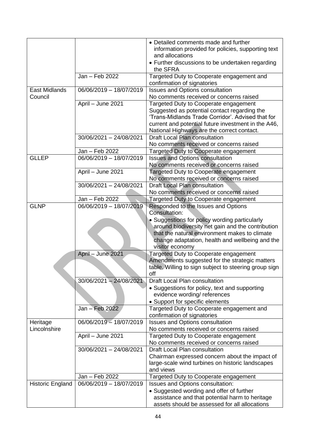|                         |                         | • Detailed comments made and further<br>information provided for policies, supporting text<br>and allocations                                                                                                                                   |
|-------------------------|-------------------------|-------------------------------------------------------------------------------------------------------------------------------------------------------------------------------------------------------------------------------------------------|
|                         |                         | • Further discussions to be undertaken regarding<br>the SFRA                                                                                                                                                                                    |
|                         | Jan - Feb 2022          | Targeted Duty to Cooperate engagement and<br>confirmation of signatories                                                                                                                                                                        |
| <b>East Midlands</b>    | 06/06/2019 - 18/07/2019 | Issues and Options consultation                                                                                                                                                                                                                 |
| Council                 |                         | No comments received or concerns raised                                                                                                                                                                                                         |
|                         | April - June 2021       | Targeted Duty to Cooperate engagement<br>Suggested as potential contact regarding the<br>'Trans-Midlands Trade Corridor'. Advised that for<br>current and potential future investment in the A46,<br>National Highways are the correct contact. |
|                         | 30/06/2021 - 24/08/2021 | <b>Draft Local Plan consultation</b><br>No comments received or concerns raised                                                                                                                                                                 |
|                         | Jan - Feb 2022          | Targeted Duty to Cooperate engagement                                                                                                                                                                                                           |
| <b>GLLEP</b>            | 06/06/2019 - 18/07/2019 | <b>Issues and Options consultation</b>                                                                                                                                                                                                          |
|                         |                         | No comments received or concerns raised                                                                                                                                                                                                         |
|                         | April - June 2021       | Targeted Duty to Cooperate engagement                                                                                                                                                                                                           |
|                         |                         | No comments received or concerns raised                                                                                                                                                                                                         |
|                         | 30/06/2021 - 24/08/2021 | Draft Local Plan consultation                                                                                                                                                                                                                   |
|                         |                         | No comments received or concerns raised                                                                                                                                                                                                         |
|                         | Jan - Feb 2022          | Targeted Duty to Cooperate engagement                                                                                                                                                                                                           |
| <b>GLNP</b>             | 06/06/2019 - 18/07/2019 | Responded to the Issues and Options                                                                                                                                                                                                             |
|                         |                         | Consultation:                                                                                                                                                                                                                                   |
|                         |                         | • Suggestions for policy wording particularly                                                                                                                                                                                                   |
|                         |                         | around biodiversity net gain and the contribution                                                                                                                                                                                               |
|                         |                         | that the natural environment makes to climate                                                                                                                                                                                                   |
|                         |                         | change adaptation, health and wellbeing and the<br>visitor economy                                                                                                                                                                              |
|                         | April - June 2021       | Targeted Duty to Cooperate engagement                                                                                                                                                                                                           |
|                         |                         | Amendments suggested for the strategic matters                                                                                                                                                                                                  |
|                         |                         | table. Willing to sign subject to steering group sign                                                                                                                                                                                           |
|                         |                         | off                                                                                                                                                                                                                                             |
|                         | 30/06/2021 - 24/08/2021 | <b>Draft Local Plan consultation</b>                                                                                                                                                                                                            |
|                         |                         | • Suggestions for policy, text and supporting                                                                                                                                                                                                   |
|                         |                         | evidence wording/ references                                                                                                                                                                                                                    |
|                         |                         | • Support for specific elements                                                                                                                                                                                                                 |
|                         | Jan - Feb 2022          | Targeted Duty to Cooperate engagement and                                                                                                                                                                                                       |
|                         |                         | confirmation of signatories                                                                                                                                                                                                                     |
| Heritage                | 06/06/2019 - 18/07/2019 | Issues and Options consultation                                                                                                                                                                                                                 |
| Lincolnshire            |                         | No comments received or concerns raised                                                                                                                                                                                                         |
|                         | April - June 2021       | Targeted Duty to Cooperate engagement                                                                                                                                                                                                           |
|                         |                         | No comments received or concerns raised                                                                                                                                                                                                         |
|                         | 30/06/2021 - 24/08/2021 | <b>Draft Local Plan consultation</b>                                                                                                                                                                                                            |
|                         |                         | Chairman expressed concern about the impact of<br>large-scale wind turbines on historic landscapes                                                                                                                                              |
|                         |                         | and views                                                                                                                                                                                                                                       |
|                         | Jan - Feb 2022          | Targeted Duty to Cooperate engagement                                                                                                                                                                                                           |
| <b>Historic England</b> | 06/06/2019 - 18/07/2019 | Issues and Options consultation:                                                                                                                                                                                                                |
|                         |                         | • Suggested wording and offer of further                                                                                                                                                                                                        |
|                         |                         | assistance and that potential harm to heritage                                                                                                                                                                                                  |
|                         |                         | assets should be assessed for all allocations                                                                                                                                                                                                   |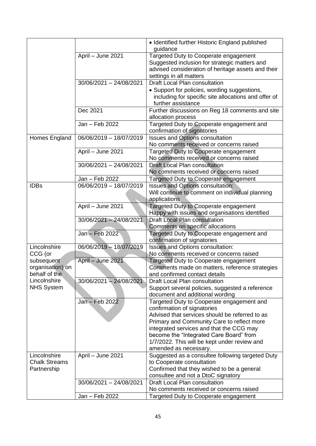|                                                 |                         | • Identified further Historic England published                                                                                                                         |
|-------------------------------------------------|-------------------------|-------------------------------------------------------------------------------------------------------------------------------------------------------------------------|
|                                                 |                         | guidance                                                                                                                                                                |
|                                                 | April - June 2021       | Targeted Duty to Cooperate engagement<br>Suggested inclusion for strategic matters and<br>advised consideration of heritage assets and their<br>settings in all matters |
|                                                 | 30/06/2021 - 24/08/2021 | Draft Local Plan consultation                                                                                                                                           |
|                                                 |                         |                                                                                                                                                                         |
|                                                 |                         | • Support for policies, wording suggestions,<br>including for specific site allocations and offer of<br>further assistance                                              |
|                                                 | Dec 2021                | Further discussions on Reg 18 comments and site<br>allocation process                                                                                                   |
|                                                 | Jan - Feb 2022          | Targeted Duty to Cooperate engagement and<br>confirmation of signatories                                                                                                |
| Homes England                                   | 06/06/2019 - 18/07/2019 | <b>Issues and Options consultation</b>                                                                                                                                  |
|                                                 |                         | No comments received or concerns raised                                                                                                                                 |
|                                                 | April - June 2021       | Targeted Duty to Cooperate engagement                                                                                                                                   |
|                                                 |                         | No comments received or concerns raised                                                                                                                                 |
|                                                 | 30/06/2021 - 24/08/2021 | Draft Local Plan consultation                                                                                                                                           |
|                                                 |                         | No comments received or concerns raised                                                                                                                                 |
|                                                 | Jan - Feb 2022          | Targeted Duty to Cooperate engagement                                                                                                                                   |
| <b>IDBs</b>                                     | 06/06/2019 - 18/07/2019 | Issues and Options consultation:                                                                                                                                        |
|                                                 |                         | Will continue to comment on individual planning                                                                                                                         |
|                                                 |                         | applications                                                                                                                                                            |
|                                                 | April - June 2021       | Targeted Duty to Cooperate engagement                                                                                                                                   |
|                                                 |                         | Happy with issues and organisations identified                                                                                                                          |
|                                                 | 30/06/2021 - 24/08/2021 | <b>Draft Local Plan consultation</b>                                                                                                                                    |
|                                                 |                         | Comments on specific allocations                                                                                                                                        |
|                                                 | Jan - Feb 2022          | Targeted Duty to Cooperate engagement and                                                                                                                               |
|                                                 |                         | confirmation of signatories                                                                                                                                             |
| Lincolnshire                                    | 06/06/2019 - 18/07/2019 | Issues and Options consultation:                                                                                                                                        |
| CCG (or                                         |                         | No comments received or concerns raised                                                                                                                                 |
| subsequent<br>organisation) on<br>behalf of the | April - June 2021       | Targeted Duty to Cooperate engagement<br>Comments made on matters, reference strategies<br>and confirmed contact details                                                |
| Lincolnshire                                    | 30/06/2021 - 24/08/2021 | Draft Local Plan consultation                                                                                                                                           |
| <b>NHS System</b>                               |                         | Support several policies, suggested a reference                                                                                                                         |
|                                                 |                         | document and additional wording                                                                                                                                         |
|                                                 | Jan - Feb 2022          | Targeted Duty to Cooperate engagement and<br>confirmation of signatories                                                                                                |
|                                                 |                         | Advised that services should be referred to as                                                                                                                          |
|                                                 |                         | Primary and Community Care to reflect more                                                                                                                              |
|                                                 |                         | integrated services and that the CCG may                                                                                                                                |
|                                                 |                         | become the "Integrated Care Board" from                                                                                                                                 |
|                                                 |                         | 1/7/2022. This will be kept under review and                                                                                                                            |
|                                                 |                         | amended as necessary.                                                                                                                                                   |
| Lincolnshire                                    | April - June 2021       | Suggested as a consultee following targeted Duty                                                                                                                        |
| <b>Chalk Streams</b><br>Partnership             |                         | to Cooperate consultation                                                                                                                                               |
|                                                 |                         | Confirmed that they wished to be a general                                                                                                                              |
|                                                 |                         | consultee and not a DtoC signatory                                                                                                                                      |
|                                                 | 30/06/2021 - 24/08/2021 | Draft Local Plan consultation                                                                                                                                           |
|                                                 |                         | No comments received or concerns raised                                                                                                                                 |
|                                                 | Jan - Feb 2022          | Targeted Duty to Cooperate engagement                                                                                                                                   |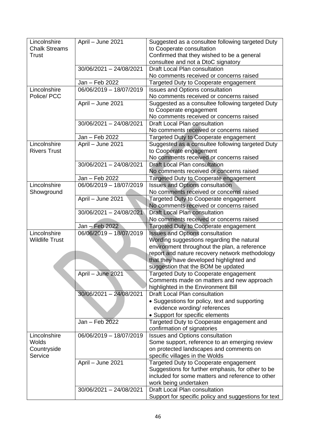| Lincolnshire          | April - June 2021                    | Suggested as a consultee following targeted Duty                                 |
|-----------------------|--------------------------------------|----------------------------------------------------------------------------------|
| <b>Chalk Streams</b>  |                                      | to Cooperate consultation                                                        |
| Trust                 |                                      | Confirmed that they wished to be a general<br>consultee and not a DtoC signatory |
|                       | 30/06/2021 - 24/08/2021              | Draft Local Plan consultation                                                    |
|                       |                                      | No comments received or concerns raised                                          |
|                       | Jan - Feb 2022                       | Targeted Duty to Cooperate engagement                                            |
| Lincolnshire          | 06/06/2019 - 18/07/2019              | <b>Issues and Options consultation</b>                                           |
| Police/ PCC           |                                      | No comments received or concerns raised                                          |
|                       | April - June 2021                    | Suggested as a consultee following targeted Duty                                 |
|                       |                                      | to Cooperate engagement                                                          |
|                       |                                      | No comments received or concerns raised                                          |
|                       | 30/06/2021 - 24/08/2021              | Draft Local Plan consultation                                                    |
|                       |                                      | No comments received or concerns raised                                          |
|                       | Jan – Feb 2022                       | Targeted Duty to Cooperate engagement                                            |
| Lincolnshire          | April - June 2021                    | Suggested as a consultee following targeted Duty                                 |
| <b>Rivers Trust</b>   |                                      | to Cooperate engagement                                                          |
|                       |                                      | No comments received or concerns raised                                          |
|                       | 30/06/2021 - 24/08/2021              | Draft Local Plan consultation<br>No comments received or concerns raised         |
|                       | Jan - Feb 2022                       | Targeted Duty to Cooperate engagement                                            |
| Lincolnshire          | $\overline{06/06/2019} - 18/07/2019$ | <b>Issues and Options consultation</b>                                           |
| Showground            |                                      | No comments received or concerns raised                                          |
|                       | April - June 2021                    | Targeted Duty to Cooperate engagement                                            |
|                       |                                      | No comments received or concerns raised                                          |
|                       | 30/06/2021 - 24/08/2021              | <b>Draft Local Plan consultation</b>                                             |
|                       |                                      | No comments received or concerns raised                                          |
|                       | Jan - Feb 2022                       | Targeted Duty to Cooperate engagement                                            |
| Lincolnshire          | 06/06/2019 - 18/07/2019              | <b>Issues and Options consultation</b>                                           |
| <b>Wildlife Trust</b> |                                      | Wording suggestions regarding the natural                                        |
|                       |                                      | environment throughout the plan, a reference                                     |
|                       |                                      | report and nature recovery network methodology                                   |
|                       |                                      | that they have developed highlighted and                                         |
|                       |                                      | suggestion that the BOM be updated                                               |
|                       | April - June 2021                    | Targeted Duty to Cooperate engagement                                            |
|                       |                                      | Comments made on matters and new approach                                        |
|                       | 30/06/2021 - 24/08/2021              | highlighted in the Environment Bill<br><b>Draft Local Plan consultation</b>      |
|                       |                                      | • Suggestions for policy, text and supporting                                    |
|                       |                                      | evidence wording/references                                                      |
|                       |                                      | • Support for specific elements                                                  |
|                       | Jan - Feb 2022                       | Targeted Duty to Cooperate engagement and                                        |
|                       |                                      | confirmation of signatories                                                      |
| Lincolnshire          | 06/06/2019 - 18/07/2019              | <b>Issues and Options consultation</b>                                           |
| Wolds                 |                                      | Some support, reference to an emerging review                                    |
| Countryside           |                                      | on protected landscapes and comments on                                          |
| Service               |                                      | specific villages in the Wolds                                                   |
|                       | April - June 2021                    | Targeted Duty to Cooperate engagement                                            |
|                       |                                      | Suggestions for further emphasis, for other to be                                |
|                       |                                      | included for some matters and reference to other                                 |
|                       |                                      | work being undertaken                                                            |
|                       | 30/06/2021 - 24/08/2021              | Draft Local Plan consultation                                                    |
|                       |                                      | Support for specific policy and suggestions for text                             |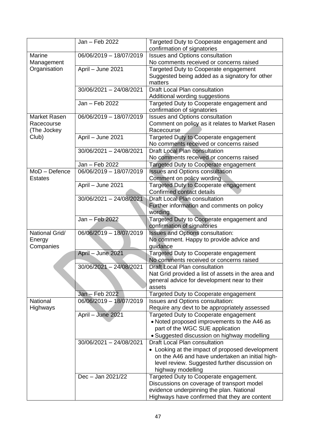|                | Jan - Feb 2022          | Targeted Duty to Cooperate engagement and<br>confirmation of signatories        |
|----------------|-------------------------|---------------------------------------------------------------------------------|
| Marine         | 06/06/2019 - 18/07/2019 | <b>Issues and Options consultation</b>                                          |
| Management     |                         | No comments received or concerns raised                                         |
| Organisation   | April - June 2021       | Targeted Duty to Cooperate engagement                                           |
|                |                         | Suggested being added as a signatory for other                                  |
|                |                         | matters                                                                         |
|                | 30/06/2021 - 24/08/2021 | Draft Local Plan consultation                                                   |
|                |                         | Additional wording suggestions                                                  |
|                | Jan - Feb 2022          | Targeted Duty to Cooperate engagement and                                       |
|                |                         | confirmation of signatories                                                     |
| Market Rasen   | 06/06/2019 - 18/07/2019 | <b>Issues and Options consultation</b>                                          |
| Racecourse     |                         | Comment on policy as it relates to Market Rasen                                 |
| (The Jockey)   |                         | Racecourse                                                                      |
| Club)          | April - June 2021       | Targeted Duty to Cooperate engagement                                           |
|                |                         | No comments received or concerns raised                                         |
|                | 30/06/2021 - 24/08/2021 | Draft Local Plan consultation                                                   |
|                | Jan - Feb 2022          | No comments received or concerns raised                                         |
| MoD - Defence  | 06/06/2019 - 18/07/2019 | Targeted Duty to Cooperate engagement<br><b>Issues and Options consultation</b> |
| <b>Estates</b> |                         | Comment on policy wording                                                       |
|                | April - June 2021       | Targeted Duty to Cooperate engagement                                           |
|                |                         | Confirmed contact details                                                       |
|                | 30/06/2021 - 24/08/2021 | <b>Draft Local Plan consultation</b>                                            |
|                |                         | Further information and comments on policy                                      |
|                |                         | wording                                                                         |
|                | Jan - Feb 2022          | Targeted Duty to Cooperate engagement and                                       |
|                |                         | confirmation of signatories                                                     |
| National Grid/ | 06/06/2019 - 18/07/2019 | Issues and Options consultation:                                                |
| Energy         |                         | No comment. Happy to provide advice and                                         |
| Companies      |                         | guidance                                                                        |
|                | April - June 2021       | Targeted Duty to Cooperate engagement                                           |
|                |                         | No comments received or concerns raised                                         |
|                | 30/06/2021 - 24/08/2021 | Draft Local Plan consultation                                                   |
|                |                         | Nat Grid provided a list of assets in the area and                              |
|                |                         | general advice for development near to their                                    |
|                |                         | assets                                                                          |
|                | Jan - Feb 2022          | Targeted Duty to Cooperate engagement                                           |
| National       | 06/06/2019 - 18/07/2019 | Issues and Options consultation:                                                |
| Highways       |                         | Require any devt to be appropriately assessed                                   |
|                | April - June 2021       | Targeted Duty to Cooperate engagement                                           |
|                |                         | • Noted proposed improvements to the A46 as<br>part of the WGC SUE application  |
|                |                         | • Suggested discussion on highway modelling                                     |
|                | 30/06/2021 - 24/08/2021 | <b>Draft Local Plan consultation</b>                                            |
|                |                         | • Looking at the impact of proposed development                                 |
|                |                         | on the A46 and have undertaken an initial high-                                 |
|                |                         | level review. Suggested further discussion on                                   |
|                |                         | highway modelling                                                               |
|                | Dec - Jan 2021/22       | Targeted Duty to Cooperate engagement.                                          |
|                |                         | Discussions on coverage of transport model                                      |
|                |                         | evidence underpinning the plan. National                                        |
|                |                         | Highways have confirmed that they are content                                   |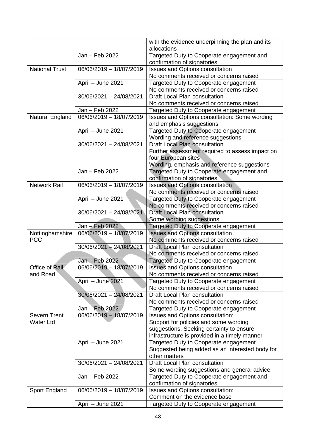|                       |                         | with the evidence underpinning the plan and its<br>allocations                  |
|-----------------------|-------------------------|---------------------------------------------------------------------------------|
|                       | Jan - Feb 2022          | Targeted Duty to Cooperate engagement and                                       |
| <b>National Trust</b> | 06/06/2019 - 18/07/2019 | confirmation of signatories<br><b>Issues and Options consultation</b>           |
|                       |                         | No comments received or concerns raised                                         |
|                       | April - June 2021       | Targeted Duty to Cooperate engagement                                           |
|                       |                         | No comments received or concerns raised                                         |
|                       | 30/06/2021 - 24/08/2021 | <b>Draft Local Plan consultation</b>                                            |
|                       |                         | No comments received or concerns raised                                         |
|                       | Jan - Feb 2022          | Targeted Duty to Cooperate engagement                                           |
| Natural England       | 06/06/2019 - 18/07/2019 | Issues and Options consultation: Some wording                                   |
|                       |                         | and emphasis suggestions                                                        |
|                       | April - June 2021       | Targeted Duty to Cooperate engagement                                           |
|                       |                         | Wording and reference suggestions                                               |
|                       | 30/06/2021 - 24/08/2021 | Draft Local Plan consultation                                                   |
|                       |                         | Further assessment required to assess impact on                                 |
|                       |                         | four European sites                                                             |
|                       |                         | Wording, emphasis and reference suggestions                                     |
|                       | Jan - Feb 2022          | Targeted Duty to Cooperate engagement and                                       |
|                       |                         | confirmation of signatories                                                     |
| <b>Network Rail</b>   | 06/06/2019 - 18/07/2019 | <b>Issues and Options consultation</b>                                          |
|                       |                         | No comments received or concerns raised                                         |
|                       | April - June 2021       | Targeted Duty to Cooperate engagement                                           |
|                       |                         | No comments received or concerns raised                                         |
|                       | 30/06/2021 - 24/08/2021 | <b>Draft Local Plan consultation</b>                                            |
|                       |                         | Some wording suggestions                                                        |
|                       | Jan - Feb 2022          | Targeted Duty to Cooperate engagement                                           |
| Nottinghamshire       | 06/06/2019 - 18/07/2019 | <b>Issues and Options consultation</b>                                          |
| <b>PCC</b>            |                         | No comments received or concerns raised                                         |
|                       | 30/06/2021 - 24/08/2021 | <b>Draft Local Plan consultation</b><br>No comments received or concerns raised |
|                       | Jan - Feb 2022          | Targeted Duty to Cooperate engagement                                           |
| Office of Rail        | 06/06/2019 - 18/07/2019 | <b>Issues and Options consultation</b>                                          |
| and Road              |                         | No comments received or concerns raised                                         |
|                       | April - June 2021       | Targeted Duty to Cooperate engagement                                           |
|                       |                         | No comments received or concerns raised                                         |
|                       | 30/06/2021 - 24/08/2021 | Draft Local Plan consultation                                                   |
|                       |                         | No comments received or concerns raised                                         |
|                       | Jan - Feb 2022          | Targeted Duty to Cooperate engagement                                           |
| Severn Trent          | 06/06/2019 - 18/07/2019 | Issues and Options consultation:                                                |
| <b>Water Ltd</b>      |                         | Support for policies and some wording                                           |
|                       |                         | suggestions. Seeking certainty to ensure                                        |
|                       |                         | infrastructure is provided in a timely manner                                   |
|                       | April - June 2021       | Targeted Duty to Cooperate engagement                                           |
|                       |                         | Suggested being added as an interested body for                                 |
|                       |                         | other matters                                                                   |
|                       | 30/06/2021 - 24/08/2021 | Draft Local Plan consultation                                                   |
|                       |                         | Some wording suggestions and general advice                                     |
|                       | Jan - Feb 2022          | Targeted Duty to Cooperate engagement and                                       |
|                       |                         | confirmation of signatories                                                     |
| Sport England         | 06/06/2019 - 18/07/2019 | Issues and Options consultation:                                                |
|                       |                         | Comment on the evidence base                                                    |
|                       | April - June 2021       | Targeted Duty to Cooperate engagement                                           |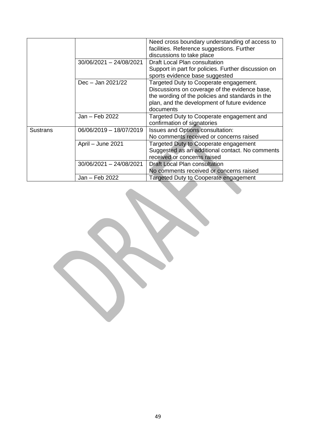|          |                         | Need cross boundary understanding of access to<br>facilities. Reference suggestions. Further<br>discussions to take place                                                                                |
|----------|-------------------------|----------------------------------------------------------------------------------------------------------------------------------------------------------------------------------------------------------|
|          | 30/06/2021 - 24/08/2021 | Draft Local Plan consultation<br>Support in part for policies. Further discussion on<br>sports evidence base suggested                                                                                   |
|          | Dec - Jan 2021/22       | Targeted Duty to Cooperate engagement.<br>Discussions on coverage of the evidence base,<br>the wording of the policies and standards in the<br>plan, and the development of future evidence<br>documents |
|          | Jan - Feb 2022          | Targeted Duty to Cooperate engagement and<br>confirmation of signatories                                                                                                                                 |
| Sustrans | 06/06/2019 - 18/07/2019 | Issues and Options consultation:<br>No comments received or concerns raised                                                                                                                              |
|          | April - June 2021       | Targeted Duty to Cooperate engagement<br>Suggested as an additional contact. No comments<br>received or concerns raised                                                                                  |
|          | 30/06/2021 - 24/08/2021 | Draft Local Plan consultation<br>No comments received or concerns raised                                                                                                                                 |
|          | Jan - Feb 2022          | Targeted Duty to Cooperate engagement                                                                                                                                                                    |